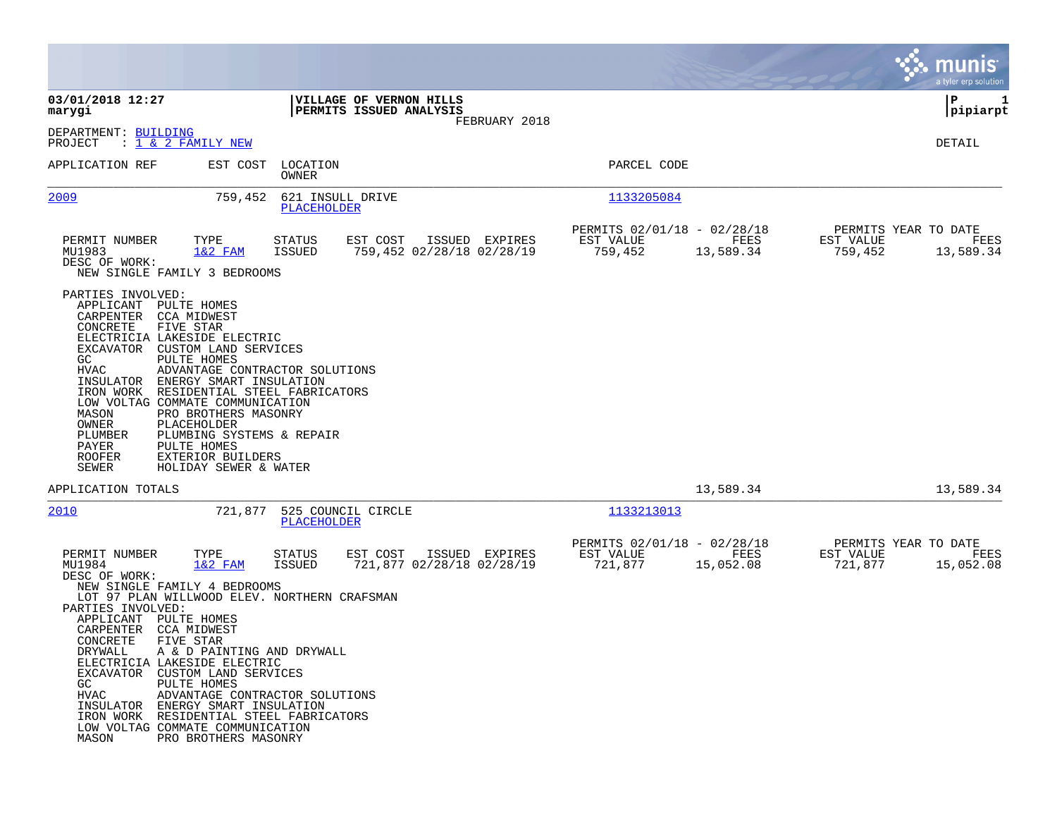|                                                                                                                                                                                                                                                                                                                                                                                                                                                                                                                                                                              |                                                                                    |                                                     |                   |                                              | munis <sup>®</sup><br>a tyler erp solution |
|------------------------------------------------------------------------------------------------------------------------------------------------------------------------------------------------------------------------------------------------------------------------------------------------------------------------------------------------------------------------------------------------------------------------------------------------------------------------------------------------------------------------------------------------------------------------------|------------------------------------------------------------------------------------|-----------------------------------------------------|-------------------|----------------------------------------------|--------------------------------------------|
| 03/01/2018 12:27<br>marygi                                                                                                                                                                                                                                                                                                                                                                                                                                                                                                                                                   | VILLAGE OF VERNON HILLS<br>PERMITS ISSUED ANALYSIS<br>FEBRUARY 2018                |                                                     |                   |                                              | ΙP<br>1<br> pipiarpt                       |
| DEPARTMENT: BUILDING<br>: 1 & 2 FAMILY NEW<br>PROJECT                                                                                                                                                                                                                                                                                                                                                                                                                                                                                                                        |                                                                                    |                                                     |                   |                                              | DETAIL                                     |
| EST COST<br>APPLICATION REF                                                                                                                                                                                                                                                                                                                                                                                                                                                                                                                                                  | LOCATION<br>OWNER                                                                  | PARCEL CODE                                         |                   |                                              |                                            |
| 2009<br>759,452                                                                                                                                                                                                                                                                                                                                                                                                                                                                                                                                                              | 621 INSULL DRIVE<br>PLACEHOLDER                                                    | 1133205084                                          |                   |                                              |                                            |
| PERMIT NUMBER<br>TYPE<br>MU1983<br>$1&2$ FAM<br>DESC OF WORK:<br>NEW SINGLE FAMILY 3 BEDROOMS                                                                                                                                                                                                                                                                                                                                                                                                                                                                                | ISSUED EXPIRES<br><b>STATUS</b><br>EST COST<br>ISSUED<br>759,452 02/28/18 02/28/19 | PERMITS 02/01/18 - 02/28/18<br>EST VALUE<br>759,452 | FEES<br>13,589.34 | PERMITS YEAR TO DATE<br>EST VALUE<br>759,452 | FEES<br>13,589.34                          |
| PARTIES INVOLVED:<br>APPLICANT<br>PULTE HOMES<br>CARPENTER<br>CCA MIDWEST<br>CONCRETE<br>FIVE STAR<br>ELECTRICIA LAKESIDE ELECTRIC<br>EXCAVATOR CUSTOM LAND SERVICES<br>PULTE HOMES<br>GC<br>HVAC<br>ADVANTAGE CONTRACTOR SOLUTIONS<br>INSULATOR ENERGY SMART INSULATION<br>IRON WORK RESIDENTIAL STEEL FABRICATORS<br>LOW VOLTAG COMMATE COMMUNICATION<br>MASON<br>PRO BROTHERS MASONRY<br><b>OWNER</b><br>PLACEHOLDER<br>PLUMBER<br>PLUMBING SYSTEMS & REPAIR<br>PAYER<br>PULTE HOMES<br><b>ROOFER</b><br>EXTERIOR BUILDERS<br>SEWER<br>HOLIDAY SEWER & WATER              |                                                                                    |                                                     |                   |                                              |                                            |
| APPLICATION TOTALS                                                                                                                                                                                                                                                                                                                                                                                                                                                                                                                                                           |                                                                                    |                                                     | 13,589.34         |                                              | 13,589.34                                  |
| 2010<br>721,877                                                                                                                                                                                                                                                                                                                                                                                                                                                                                                                                                              | 525 COUNCIL CIRCLE<br>PLACEHOLDER                                                  | 1133213013                                          |                   |                                              |                                            |
| PERMIT NUMBER<br>TYPE<br>MU1984<br>$1&2$ FAM<br>DESC OF WORK:<br>NEW SINGLE FAMILY 4 BEDROOMS<br>LOT 97 PLAN WILLWOOD ELEV. NORTHERN CRAFSMAN<br>PARTIES INVOLVED:<br>APPLICANT PULTE HOMES<br>CARPENTER CCA MIDWEST<br>CONCRETE<br>FIVE STAR<br>DRYWALL<br>A & D PAINTING AND DRYWALL<br>ELECTRICIA LAKESIDE ELECTRIC<br>EXCAVATOR CUSTOM LAND SERVICES<br>PULTE HOMES<br>GC<br>HVAC<br>ADVANTAGE CONTRACTOR SOLUTIONS<br>INSULATOR ENERGY SMART INSULATION<br>IRON WORK RESIDENTIAL STEEL FABRICATORS<br>LOW VOLTAG COMMATE COMMUNICATION<br>MASON<br>PRO BROTHERS MASONRY | <b>STATUS</b><br>EST COST<br>ISSUED EXPIRES<br>ISSUED<br>721,877 02/28/18 02/28/19 | PERMITS 02/01/18 - 02/28/18<br>EST VALUE<br>721,877 | FEES<br>15,052.08 | PERMITS YEAR TO DATE<br>EST VALUE<br>721,877 | FEES<br>15,052.08                          |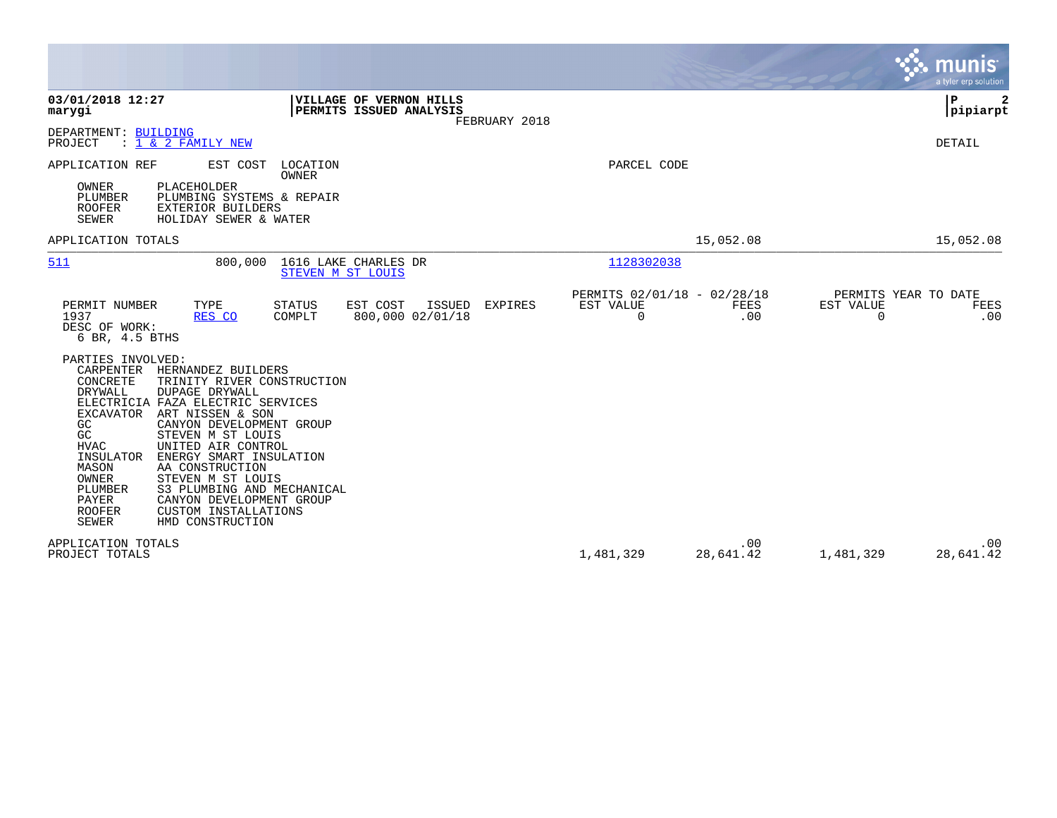|                                                                                                                                                                                                                                                                                                                                                                                                                                                                                                                                                                                       |                                                      |                  | munis<br>a tyler erp solution                                |
|---------------------------------------------------------------------------------------------------------------------------------------------------------------------------------------------------------------------------------------------------------------------------------------------------------------------------------------------------------------------------------------------------------------------------------------------------------------------------------------------------------------------------------------------------------------------------------------|------------------------------------------------------|------------------|--------------------------------------------------------------|
| 03/01/2018 12:27<br>VILLAGE OF VERNON HILLS<br>PERMITS ISSUED ANALYSIS<br>marygi<br>FEBRUARY 2018                                                                                                                                                                                                                                                                                                                                                                                                                                                                                     |                                                      |                  | P<br> pipiarpt                                               |
| DEPARTMENT: BUILDING<br>: 1 & 2 FAMILY NEW<br>PROJECT                                                                                                                                                                                                                                                                                                                                                                                                                                                                                                                                 |                                                      |                  | DETAIL                                                       |
| APPLICATION REF<br>EST COST<br>LOCATION<br>OWNER                                                                                                                                                                                                                                                                                                                                                                                                                                                                                                                                      | PARCEL CODE                                          |                  |                                                              |
| OWNER<br>PLACEHOLDER<br>PLUMBER<br>PLUMBING SYSTEMS & REPAIR<br><b>ROOFER</b><br>EXTERIOR BUILDERS<br>HOLIDAY SEWER & WATER<br>SEWER                                                                                                                                                                                                                                                                                                                                                                                                                                                  |                                                      |                  |                                                              |
| APPLICATION TOTALS                                                                                                                                                                                                                                                                                                                                                                                                                                                                                                                                                                    |                                                      | 15,052.08        | 15,052.08                                                    |
| 511<br>800,000<br>1616 LAKE CHARLES DR<br>STEVEN M ST LOUIS                                                                                                                                                                                                                                                                                                                                                                                                                                                                                                                           | 1128302038                                           |                  |                                                              |
| TYPE<br><b>STATUS</b><br>EST COST<br>ISSUED<br>PERMIT NUMBER<br>EXPIRES<br>800,000 02/01/18<br>1937<br>COMPLT<br>RES CO<br>DESC OF WORK:<br>6 BR, 4.5 BTHS                                                                                                                                                                                                                                                                                                                                                                                                                            | PERMITS 02/01/18 - 02/28/18<br>EST VALUE<br>$\Omega$ | FEES<br>.00      | PERMITS YEAR TO DATE<br>EST VALUE<br>FEES<br>$\Omega$<br>.00 |
| PARTIES INVOLVED:<br>CARPENTER<br>HERNANDEZ BUILDERS<br>CONCRETE<br>TRINITY RIVER CONSTRUCTION<br><b>DRYWALL</b><br><b>DUPAGE DRYWALL</b><br>ELECTRICIA FAZA ELECTRIC SERVICES<br><b>EXCAVATOR</b><br>ART NISSEN & SON<br>GC<br>CANYON DEVELOPMENT GROUP<br>GC<br>STEVEN M ST LOUIS<br>UNITED AIR CONTROL<br><b>HVAC</b><br>INSULATOR<br>ENERGY SMART INSULATION<br>AA CONSTRUCTION<br>MASON<br>STEVEN M ST LOUIS<br>OWNER<br>S3 PLUMBING AND MECHANICAL<br>PLUMBER<br>PAYER<br>CANYON DEVELOPMENT GROUP<br><b>ROOFER</b><br>CUSTOM INSTALLATIONS<br><b>SEWER</b><br>HMD CONSTRUCTION |                                                      |                  |                                                              |
| APPLICATION TOTALS<br>PROJECT TOTALS                                                                                                                                                                                                                                                                                                                                                                                                                                                                                                                                                  | 1,481,329                                            | .00<br>28,641.42 | .00<br>1,481,329<br>28,641.42                                |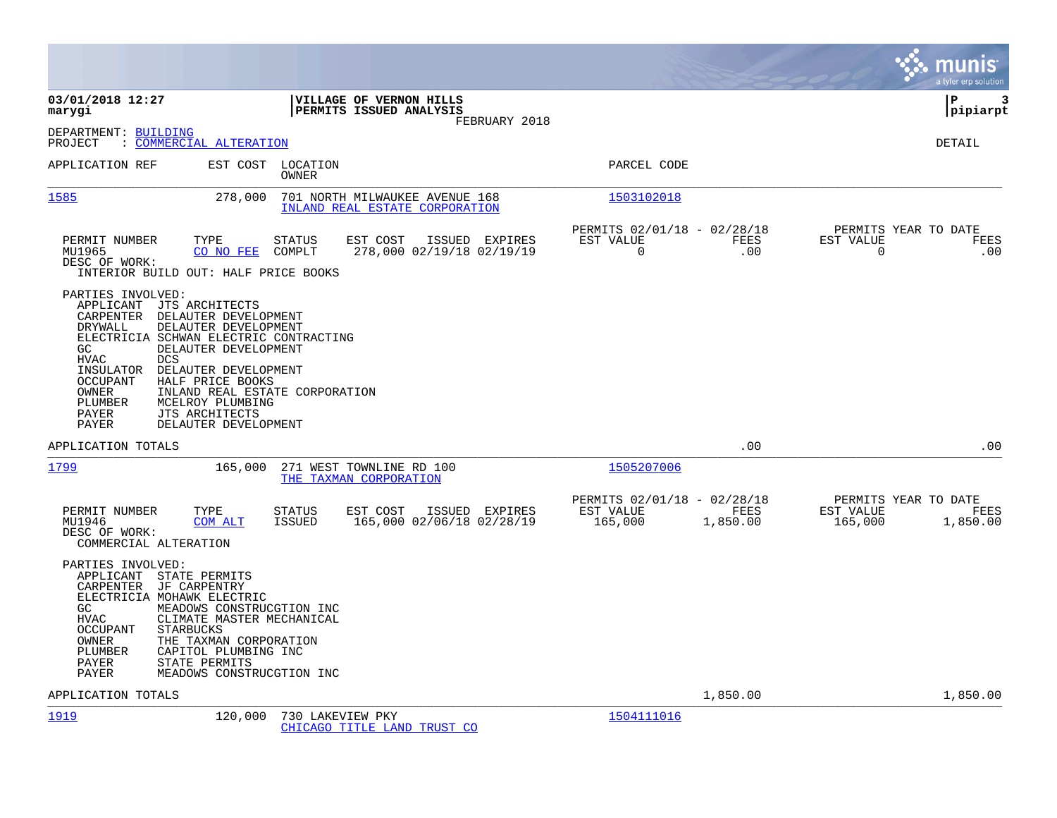|                                                                                                                                                                          |                                                                                                                                                                                                                                                                             |                                |                                                                  |                |                                                         |                  |                                                   | munis<br>a tyler erp solution |
|--------------------------------------------------------------------------------------------------------------------------------------------------------------------------|-----------------------------------------------------------------------------------------------------------------------------------------------------------------------------------------------------------------------------------------------------------------------------|--------------------------------|------------------------------------------------------------------|----------------|---------------------------------------------------------|------------------|---------------------------------------------------|-------------------------------|
| 03/01/2018 12:27<br>marygi                                                                                                                                               |                                                                                                                                                                                                                                                                             |                                | VILLAGE OF VERNON HILLS<br>PERMITS ISSUED ANALYSIS               | FEBRUARY 2018  |                                                         |                  |                                                   | lР<br>3<br> pipiarpt          |
| DEPARTMENT: BUILDING<br>PROJECT                                                                                                                                          | : COMMERCIAL ALTERATION                                                                                                                                                                                                                                                     |                                |                                                                  |                |                                                         |                  |                                                   | <b>DETAIL</b>                 |
| APPLICATION REF                                                                                                                                                          | EST COST                                                                                                                                                                                                                                                                    | LOCATION<br>OWNER              |                                                                  |                | PARCEL CODE                                             |                  |                                                   |                               |
| 1585                                                                                                                                                                     | 278,000                                                                                                                                                                                                                                                                     |                                | 701 NORTH MILWAUKEE AVENUE 168<br>INLAND REAL ESTATE CORPORATION |                | 1503102018                                              |                  |                                                   |                               |
| PERMIT NUMBER<br>MU1965<br>DESC OF WORK:                                                                                                                                 | TYPE<br>CO NO FEE<br>INTERIOR BUILD OUT: HALF PRICE BOOKS                                                                                                                                                                                                                   | STATUS<br>COMPLT               | EST COST<br>278,000 02/19/18 02/19/19                            | ISSUED EXPIRES | PERMITS 02/01/18 - 02/28/18<br>EST VALUE<br>$\mathbf 0$ | FEES<br>.00      | PERMITS YEAR TO DATE<br>EST VALUE<br>$\mathsf{O}$ | FEES<br>.00                   |
| PARTIES INVOLVED:<br>APPLICANT JTS ARCHITECTS<br>DRYWALL<br>GC<br><b>DCS</b><br><b>HVAC</b><br>INSULATOR<br><b>OCCUPANT</b><br>OWNER<br>PLUMBER<br><b>PAYER</b><br>PAYER | CARPENTER DELAUTER DEVELOPMENT<br>DELAUTER DEVELOPMENT<br>ELECTRICIA SCHWAN ELECTRIC CONTRACTING<br>DELAUTER DEVELOPMENT<br>DELAUTER DEVELOPMENT<br>HALF PRICE BOOKS<br>INLAND REAL ESTATE CORPORATION<br>MCELROY PLUMBING<br><b>JTS ARCHITECTS</b><br>DELAUTER DEVELOPMENT |                                |                                                                  |                |                                                         |                  |                                                   |                               |
| APPLICATION TOTALS                                                                                                                                                       |                                                                                                                                                                                                                                                                             |                                |                                                                  |                |                                                         | .00              |                                                   | .00                           |
| 1799                                                                                                                                                                     | 165,000                                                                                                                                                                                                                                                                     |                                | 271 WEST TOWNLINE RD 100<br>THE TAXMAN CORPORATION               |                | 1505207006                                              |                  |                                                   |                               |
| PERMIT NUMBER<br>MU1946<br>DESC OF WORK:<br>COMMERCIAL ALTERATION                                                                                                        | TYPE<br>COM ALT                                                                                                                                                                                                                                                             | <b>STATUS</b><br><b>ISSUED</b> | EST COST<br>165,000 02/06/18 02/28/19                            | ISSUED EXPIRES | PERMITS 02/01/18 - 02/28/18<br>EST VALUE<br>165,000     | FEES<br>1,850.00 | PERMITS YEAR TO DATE<br>EST VALUE<br>165,000      | FEES<br>1,850.00              |
| PARTIES INVOLVED:<br>APPLICANT STATE PERMITS<br>CARPENTER<br>ELECTRICIA MOHAWK ELECTRIC<br>GC<br><b>HVAC</b><br><b>OCCUPANT</b><br>OWNER<br>PLUMBER<br>PAYER<br>PAYER    | JF CARPENTRY<br>MEADOWS CONSTRUCGTION INC<br>CLIMATE MASTER MECHANICAL<br><b>STARBUCKS</b><br>THE TAXMAN CORPORATION<br>CAPITOL PLUMBING INC<br>STATE PERMITS<br>MEADOWS CONSTRUCGTION INC                                                                                  |                                |                                                                  |                |                                                         |                  |                                                   |                               |
| APPLICATION TOTALS                                                                                                                                                       |                                                                                                                                                                                                                                                                             |                                |                                                                  |                |                                                         | 1,850.00         |                                                   | 1,850.00                      |
| 1919                                                                                                                                                                     | 120,000                                                                                                                                                                                                                                                                     | 730 LAKEVIEW PKY               | CHICAGO TITLE LAND TRUST CO                                      |                | 1504111016                                              |                  |                                                   |                               |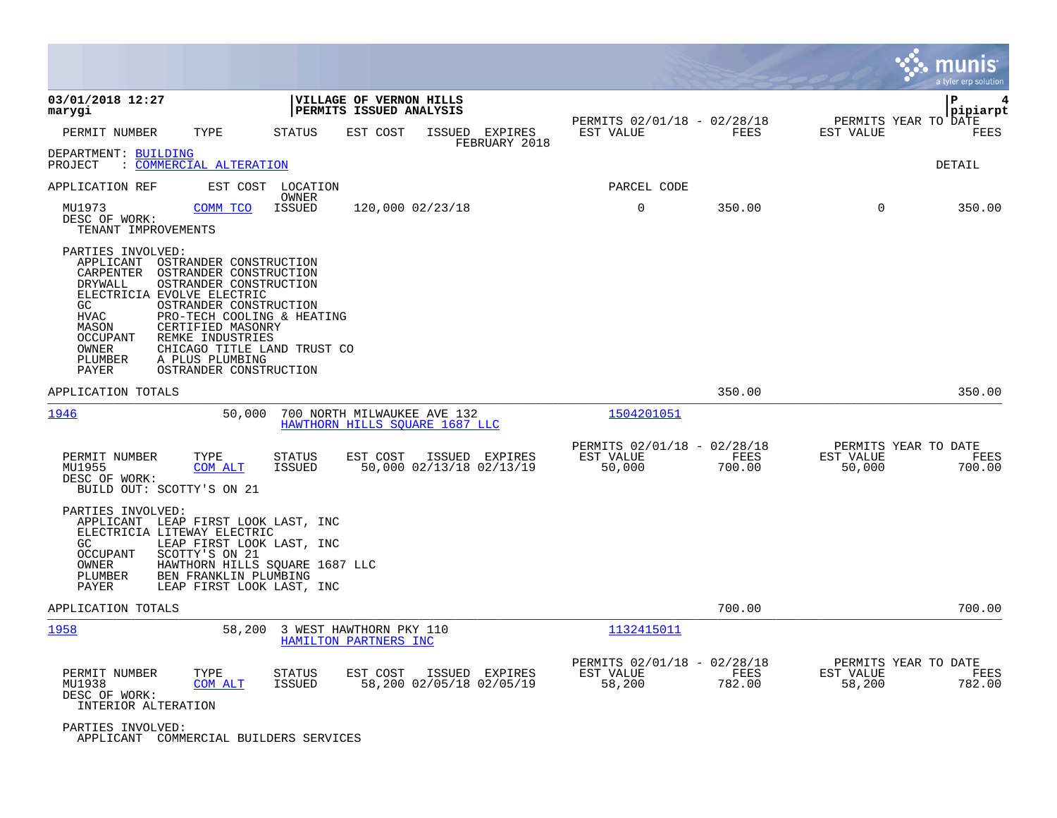|                                                                                                                                                                                                                                                                                                                                                                                          |                                                               |                                            |                                                    |                |                                             | munis<br>a tyler erp solution |
|------------------------------------------------------------------------------------------------------------------------------------------------------------------------------------------------------------------------------------------------------------------------------------------------------------------------------------------------------------------------------------------|---------------------------------------------------------------|--------------------------------------------|----------------------------------------------------|----------------|---------------------------------------------|-------------------------------|
| 03/01/2018 12:27<br>marygi                                                                                                                                                                                                                                                                                                                                                               | VILLAGE OF VERNON HILLS<br>PERMITS ISSUED ANALYSIS            |                                            |                                                    |                |                                             | l P<br> pipiarpt              |
| PERMIT NUMBER<br>TYPE                                                                                                                                                                                                                                                                                                                                                                    | STATUS<br>EST COST                                            | ISSUED<br>EXPIRES<br>FEBRUARY 2018         | PERMITS 02/01/18 - 02/28/18<br>EST VALUE           | FEES           | PERMITS YEAR TO DATE<br>EST VALUE           | FEES                          |
| DEPARTMENT: BUILDING<br>: COMMERCIAL ALTERATION<br>PROJECT                                                                                                                                                                                                                                                                                                                               |                                                               |                                            |                                                    |                |                                             | <b>DETAIL</b>                 |
| EST COST<br>APPLICATION REF                                                                                                                                                                                                                                                                                                                                                              | LOCATION<br>OWNER                                             |                                            | PARCEL CODE                                        |                |                                             |                               |
| MU1973<br>COMM TCO<br>DESC OF WORK:<br>TENANT IMPROVEMENTS                                                                                                                                                                                                                                                                                                                               | ISSUED                                                        | 120,000 02/23/18                           | 0                                                  | 350.00         | $\mathbf 0$                                 | 350.00                        |
| PARTIES INVOLVED:<br>APPLICANT<br>OSTRANDER CONSTRUCTION<br>CARPENTER<br>OSTRANDER CONSTRUCTION<br>DRYWALL<br>OSTRANDER CONSTRUCTION<br>ELECTRICIA EVOLVE ELECTRIC<br>OSTRANDER CONSTRUCTION<br>GC.<br><b>HVAC</b><br>PRO-TECH COOLING & HEATING<br>MASON<br>CERTIFIED MASONRY<br>REMKE INDUSTRIES<br>OCCUPANT<br>OWNER<br>PLUMBER<br>A PLUS PLUMBING<br>PAYER<br>OSTRANDER CONSTRUCTION | CHICAGO TITLE LAND TRUST CO                                   |                                            |                                                    |                |                                             |                               |
| APPLICATION TOTALS                                                                                                                                                                                                                                                                                                                                                                       |                                                               |                                            |                                                    | 350.00         |                                             | 350.00                        |
| 1946<br>50,000                                                                                                                                                                                                                                                                                                                                                                           | 700 NORTH MILWAUKEE AVE 132<br>HAWTHORN HILLS SOUARE 1687 LLC |                                            | 1504201051                                         |                |                                             |                               |
| TYPE<br>PERMIT NUMBER<br>MU1955<br><b>COM ALT</b><br>DESC OF WORK:<br>BUILD OUT: SCOTTY'S ON 21                                                                                                                                                                                                                                                                                          | STATUS<br>EST COST<br>ISSUED                                  | ISSUED EXPIRES<br>50,000 02/13/18 02/13/19 | PERMITS 02/01/18 - 02/28/18<br>EST VALUE<br>50,000 | FEES<br>700.00 | PERMITS YEAR TO DATE<br>EST VALUE<br>50,000 | FEES<br>700.00                |
| PARTIES INVOLVED:<br>APPLICANT LEAP FIRST LOOK LAST, INC<br>ELECTRICIA LITEWAY ELECTRIC<br>LEAP FIRST LOOK LAST, INC<br>GC.<br>SCOTTY'S ON 21<br>OCCUPANT<br>OWNER<br>PLUMBER<br>BEN FRANKLIN PLUMBING<br>LEAP FIRST LOOK LAST, INC<br>PAYER                                                                                                                                             | HAWTHORN HILLS SQUARE 1687 LLC                                |                                            |                                                    |                |                                             |                               |
| APPLICATION TOTALS                                                                                                                                                                                                                                                                                                                                                                       |                                                               |                                            |                                                    | 700.00         |                                             | 700.00                        |
| 1958<br>58,200                                                                                                                                                                                                                                                                                                                                                                           | 3 WEST HAWTHORN PKY 110<br>HAMILTON PARTNERS INC              |                                            | 1132415011                                         |                |                                             |                               |
| PERMIT NUMBER<br>TYPE<br>MU1938<br>COM ALT<br>DESC OF WORK:<br>INTERIOR ALTERATION                                                                                                                                                                                                                                                                                                       | <b>STATUS</b><br>EST COST<br>ISSUED                           | ISSUED EXPIRES<br>58,200 02/05/18 02/05/19 | PERMITS 02/01/18 - 02/28/18<br>EST VALUE<br>58,200 | FEES<br>782.00 | PERMITS YEAR TO DATE<br>EST VALUE<br>58,200 | FEES<br>782.00                |
| PARTIES INVOLVED:<br>APPLICANT COMMERCIAL BUILDERS SERVICES                                                                                                                                                                                                                                                                                                                              |                                                               |                                            |                                                    |                |                                             |                               |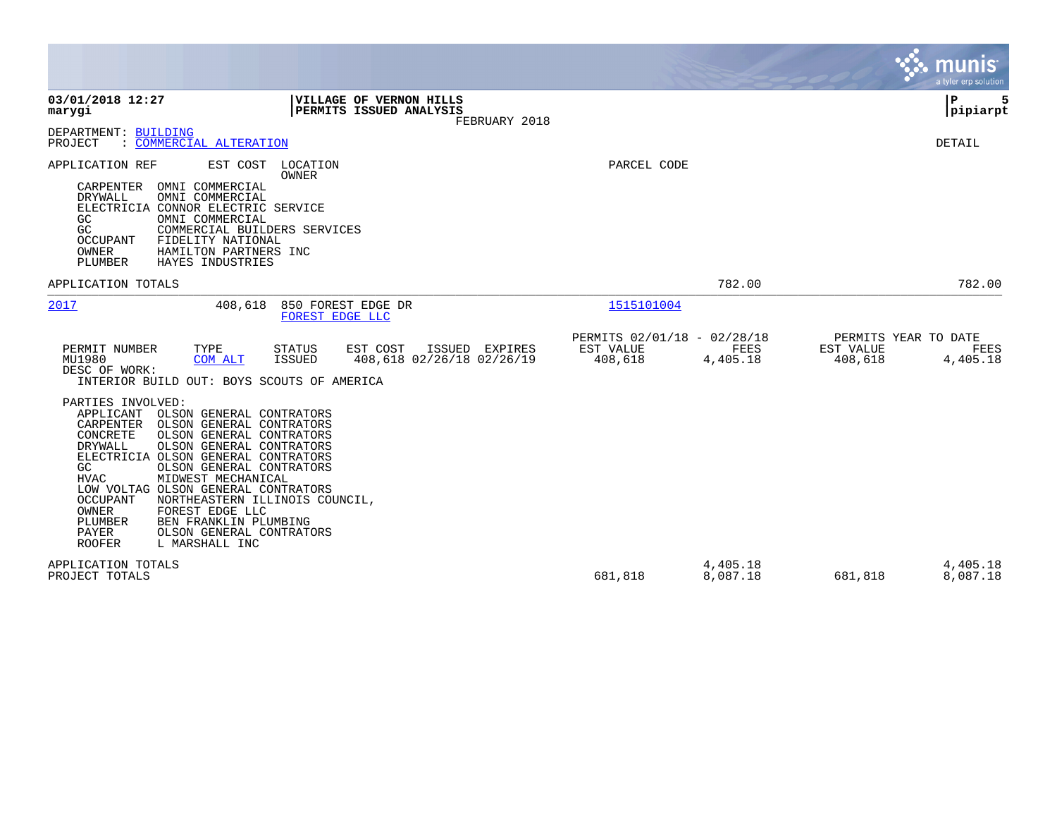|                                                                                                                                                                                                                                                                                                                                                                                                                                                                                                                                                                                                                                                                                                                    |                                                                         | munis<br>a tyler erp solution                                    |
|--------------------------------------------------------------------------------------------------------------------------------------------------------------------------------------------------------------------------------------------------------------------------------------------------------------------------------------------------------------------------------------------------------------------------------------------------------------------------------------------------------------------------------------------------------------------------------------------------------------------------------------------------------------------------------------------------------------------|-------------------------------------------------------------------------|------------------------------------------------------------------|
| 03/01/2018 12:27<br>VILLAGE OF VERNON HILLS<br>PERMITS ISSUED ANALYSIS<br>marygi<br>FEBRUARY 2018                                                                                                                                                                                                                                                                                                                                                                                                                                                                                                                                                                                                                  |                                                                         | P<br> pipiarpt                                                   |
| DEPARTMENT: BUILDING<br>PROJECT<br>: COMMERCIAL ALTERATION                                                                                                                                                                                                                                                                                                                                                                                                                                                                                                                                                                                                                                                         |                                                                         | DETAIL                                                           |
| APPLICATION REF<br>EST COST<br>LOCATION<br><b>OWNER</b><br>CARPENTER<br>OMNI COMMERCIAL<br>DRYWALL<br>OMNI COMMERCIAL<br>ELECTRICIA CONNOR ELECTRIC SERVICE<br>GC<br>OMNI COMMERCIAL<br>GC<br>COMMERCIAL BUILDERS SERVICES<br>FIDELITY NATIONAL<br>OCCUPANT<br>OWNER<br>HAMILTON PARTNERS INC<br>PLUMBER<br>HAYES INDUSTRIES                                                                                                                                                                                                                                                                                                                                                                                       | PARCEL CODE                                                             |                                                                  |
| APPLICATION TOTALS                                                                                                                                                                                                                                                                                                                                                                                                                                                                                                                                                                                                                                                                                                 | 782.00                                                                  | 782.00                                                           |
| 2017<br>408,618<br>850 FOREST EDGE DR<br>FOREST EDGE LLC                                                                                                                                                                                                                                                                                                                                                                                                                                                                                                                                                                                                                                                           | 1515101004                                                              |                                                                  |
| PERMIT NUMBER<br>TYPE<br><b>STATUS</b><br>EST COST<br>ISSUED EXPIRES<br>MU1980<br><b>ISSUED</b><br>408,618 02/26/18 02/26/19<br>COM ALT<br>DESC OF WORK:<br>INTERIOR BUILD OUT: BOYS SCOUTS OF AMERICA<br>PARTIES INVOLVED:<br>APPLICANT<br>OLSON GENERAL CONTRATORS<br>CARPENTER<br>OLSON GENERAL CONTRATORS<br>CONCRETE<br>OLSON GENERAL CONTRATORS<br>OLSON GENERAL CONTRATORS<br><b>DRYWALL</b><br>ELECTRICIA OLSON GENERAL CONTRATORS<br>OLSON GENERAL CONTRATORS<br>GC<br><b>HVAC</b><br>MIDWEST MECHANICAL<br>LOW VOLTAG OLSON GENERAL CONTRATORS<br>OCCUPANT<br>NORTHEASTERN ILLINOIS COUNCIL.<br><b>OWNER</b><br>FOREST EDGE LLC<br>PLUMBER<br>BEN FRANKLIN PLUMBING<br>PAYER<br>OLSON GENERAL CONTRATORS | PERMITS 02/01/18 - 02/28/18<br>EST VALUE<br>FEES<br>408,618<br>4,405.18 | PERMITS YEAR TO DATE<br>EST VALUE<br>FEES<br>408,618<br>4,405.18 |
| <b>ROOFER</b><br>L MARSHALL INC<br>APPLICATION TOTALS<br>PROJECT TOTALS                                                                                                                                                                                                                                                                                                                                                                                                                                                                                                                                                                                                                                            | 4,405.18<br>8,087.18<br>681,818                                         | 4,405.18<br>8,087.18<br>681,818                                  |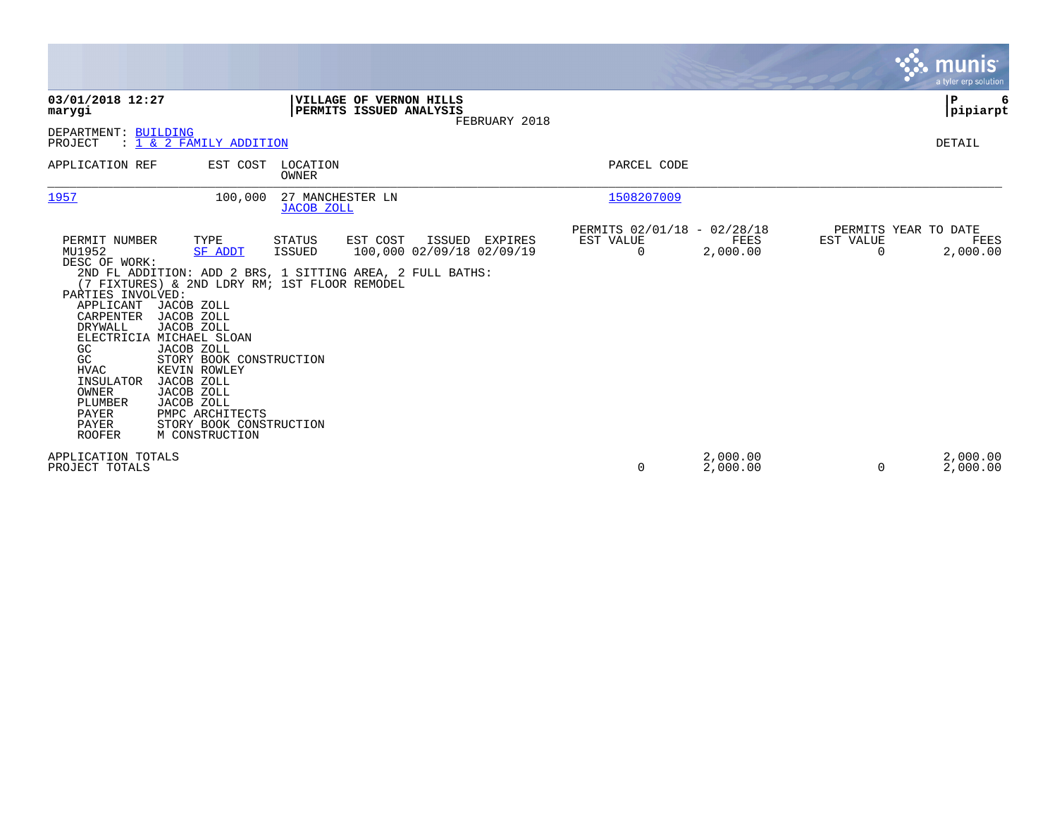|                                                                                                                                                                                                                 |                                                                                                                                                                                                                                                                                                                  |                                       |                                                                                                    |                |                                               |                      |                       | munis<br>a tyler erp solution            |
|-----------------------------------------------------------------------------------------------------------------------------------------------------------------------------------------------------------------|------------------------------------------------------------------------------------------------------------------------------------------------------------------------------------------------------------------------------------------------------------------------------------------------------------------|---------------------------------------|----------------------------------------------------------------------------------------------------|----------------|-----------------------------------------------|----------------------|-----------------------|------------------------------------------|
| 03/01/2018 12:27<br>marygi                                                                                                                                                                                      |                                                                                                                                                                                                                                                                                                                  |                                       | VILLAGE OF VERNON HILLS<br>PERMITS ISSUED ANALYSIS                                                 | FEBRUARY 2018  |                                               |                      |                       | ΙP<br> pipiarpt                          |
| DEPARTMENT: BUILDING<br>PROJECT                                                                                                                                                                                 | : 1 & 2 FAMILY ADDITION                                                                                                                                                                                                                                                                                          |                                       |                                                                                                    |                |                                               |                      |                       | DETAIL                                   |
| APPLICATION REF                                                                                                                                                                                                 | EST COST                                                                                                                                                                                                                                                                                                         | LOCATION<br>OWNER                     |                                                                                                    |                | PARCEL CODE                                   |                      |                       |                                          |
| 1957                                                                                                                                                                                                            | 100,000                                                                                                                                                                                                                                                                                                          | 27 MANCHESTER LN<br><b>JACOB ZOLL</b> |                                                                                                    |                | 1508207009                                    |                      |                       |                                          |
| PERMIT NUMBER<br>MU1952<br>DESC OF WORK:<br>PARTIES INVOLVED:<br>APPLICANT<br>CARPENTER<br>DRYWALL<br>GC<br>GC<br><b>HVAC</b><br>INSULATOR<br>OWNER<br>PLUMBER<br><b>PAYER</b><br><b>PAYER</b><br><b>ROOFER</b> | TYPE<br><b>SF ADDT</b><br>(7 FIXTURES) & 2ND LDRY RM; 1ST FLOOR REMODEL<br>JACOB ZOLL<br>JACOB ZOLL<br>JACOB ZOLL<br>ELECTRICIA MICHAEL SLOAN<br>JACOB ZOLL<br>STORY BOOK CONSTRUCTION<br>KEVIN ROWLEY<br>JACOB ZOLL<br>JACOB ZOLL<br>JACOB ZOLL<br>PMPC ARCHITECTS<br>STORY BOOK CONSTRUCTION<br>M CONSTRUCTION | STATUS<br><b>ISSUED</b>               | EST COST<br>100,000 02/09/18 02/09/19<br>2ND FL ADDITION: ADD 2 BRS, 1 SITTING AREA, 2 FULL BATHS: | ISSUED EXPIRES | PERMITS 02/01/18 - 02/28/18<br>EST VALUE<br>0 | FEES<br>2,000.00     | EST VALUE<br>$\Omega$ | PERMITS YEAR TO DATE<br>FEES<br>2,000.00 |
| APPLICATION TOTALS<br>PROJECT TOTALS                                                                                                                                                                            |                                                                                                                                                                                                                                                                                                                  |                                       |                                                                                                    |                | 0                                             | 2,000.00<br>2,000.00 | $\Omega$              | 2,000.00<br>2,000.00                     |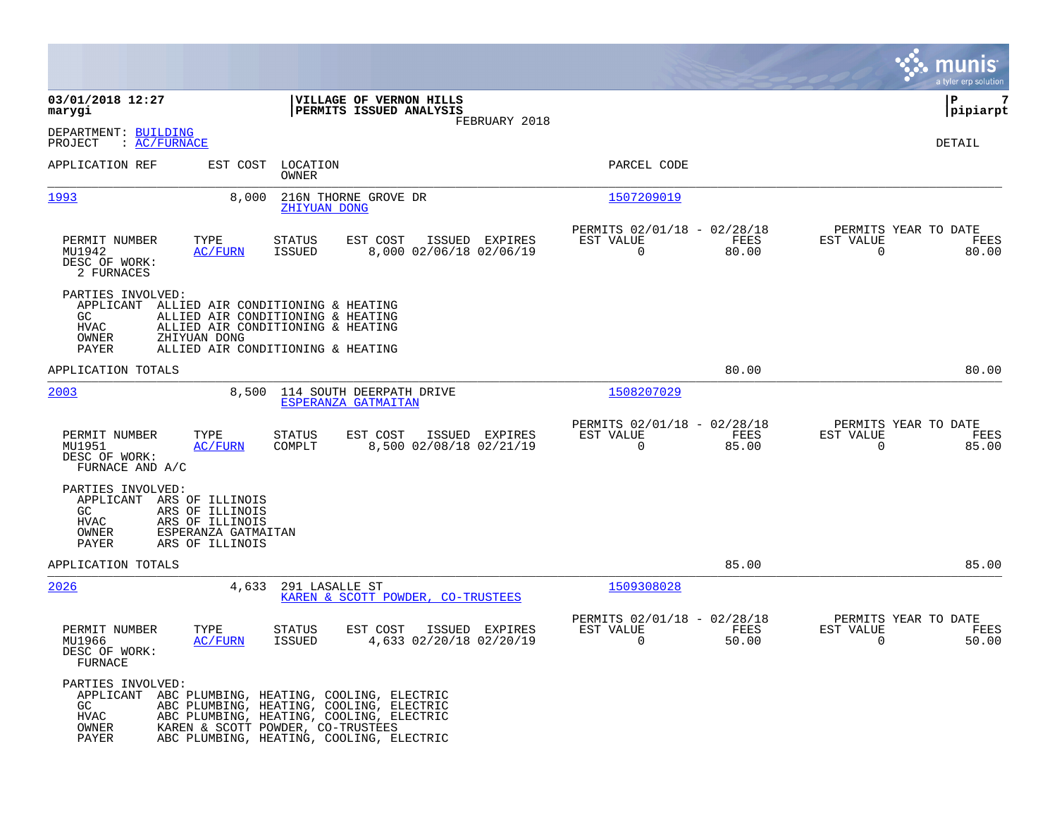|                                                                                                                                             |                                                                                                                                                                       |                                                    |                |                                                         |               |                                                  | munis<br>a tyler erp solution |
|---------------------------------------------------------------------------------------------------------------------------------------------|-----------------------------------------------------------------------------------------------------------------------------------------------------------------------|----------------------------------------------------|----------------|---------------------------------------------------------|---------------|--------------------------------------------------|-------------------------------|
| 03/01/2018 12:27<br>marygi                                                                                                                  |                                                                                                                                                                       | VILLAGE OF VERNON HILLS<br>PERMITS ISSUED ANALYSIS |                |                                                         |               |                                                  | 7<br>ΙP<br> pipiarpt          |
| DEPARTMENT: BUILDING<br>: AC/FURNACE<br>PROJECT                                                                                             |                                                                                                                                                                       |                                                    | FEBRUARY 2018  |                                                         |               |                                                  | DETAIL                        |
| APPLICATION REF                                                                                                                             | EST COST LOCATION<br>OWNER                                                                                                                                            |                                                    |                | PARCEL CODE                                             |               |                                                  |                               |
| 1993                                                                                                                                        | 8,000<br>ZHIYUAN DONG                                                                                                                                                 | 216N THORNE GROVE DR                               |                | 1507209019                                              |               |                                                  |                               |
| PERMIT NUMBER<br>TYPE<br>MU1942<br>DESC OF WORK:<br>2 FURNACES                                                                              | <b>STATUS</b><br><b>ISSUED</b><br>AC/FURN                                                                                                                             | EST COST<br>8,000 02/06/18 02/06/19                | ISSUED EXPIRES | PERMITS 02/01/18 - 02/28/18<br>EST VALUE<br>$\Omega$    | FEES<br>80.00 | PERMITS YEAR TO DATE<br>EST VALUE<br>$\Omega$    | FEES<br>80.00                 |
| PARTIES INVOLVED:<br>APPLICANT ALLIED AIR CONDITIONING & HEATING<br>GC<br><b>HVAC</b><br>ZHIYUAN DONG<br>OWNER<br>PAYER                     | ALLIED AIR CONDITIONING & HEATING<br>ALLIED AIR CONDITIONING & HEATING<br>ALLIED AIR CONDITIONING & HEATING                                                           |                                                    |                |                                                         |               |                                                  |                               |
| APPLICATION TOTALS                                                                                                                          |                                                                                                                                                                       |                                                    |                |                                                         | 80.00         |                                                  | 80.00                         |
| 2003                                                                                                                                        | 8,500                                                                                                                                                                 | 114 SOUTH DEERPATH DRIVE<br>ESPERANZA GATMAITAN    |                | 1508207029                                              |               |                                                  |                               |
| PERMIT NUMBER<br>TYPE<br>MU1951<br>DESC OF WORK:<br>FURNACE AND A/C                                                                         | <b>STATUS</b><br>AC/FURN<br>COMPLT                                                                                                                                    | EST COST<br>8,500 02/08/18 02/21/19                | ISSUED EXPIRES | PERMITS 02/01/18 - 02/28/18<br>EST VALUE<br>$\mathbf 0$ | FEES<br>85.00 | PERMITS YEAR TO DATE<br>EST VALUE<br>$\mathbf 0$ | FEES<br>85.00                 |
| PARTIES INVOLVED:<br>APPLICANT<br>ARS OF ILLINOIS<br>GC.<br>ARS OF ILLINOIS<br>HVAC<br>ARS OF ILLINOIS<br>OWNER<br>PAYER<br>ARS OF ILLINOIS | ESPERANZA GATMAITAN                                                                                                                                                   |                                                    |                |                                                         |               |                                                  |                               |
| APPLICATION TOTALS                                                                                                                          |                                                                                                                                                                       |                                                    |                |                                                         | 85.00         |                                                  | 85.00                         |
| 2026                                                                                                                                        | 4,633<br>291 LASALLE ST                                                                                                                                               | KAREN & SCOTT POWDER, CO-TRUSTEES                  |                | 1509308028                                              |               |                                                  |                               |
| PERMIT NUMBER<br>TYPE<br>MU1966<br>DESC OF WORK:<br>FURNACE                                                                                 | <b>STATUS</b><br><b>AC/FURN</b><br><b>ISSUED</b>                                                                                                                      | EST COST<br>4,633 02/20/18 02/20/19                | ISSUED EXPIRES | PERMITS 02/01/18 - 02/28/18<br>EST VALUE<br>$\Omega$    | FEES<br>50.00 | PERMITS YEAR TO DATE<br>EST VALUE<br>$\mathbf 0$ | FEES<br>50.00                 |
| PARTIES INVOLVED:<br>APPLICANT ABC PLUMBING, HEATING, COOLING, ELECTRIC<br>GC<br>HVAC<br>OWNER<br>PAYER                                     | ABC PLUMBING, HEATING, COOLING, ELECTRIC<br>ABC PLUMBING, HEATING, COOLING, ELECTRIC<br>KAREN & SCOTT POWDER, CO-TRUSTEES<br>ABC PLUMBING, HEATING, COOLING, ELECTRIC |                                                    |                |                                                         |               |                                                  |                               |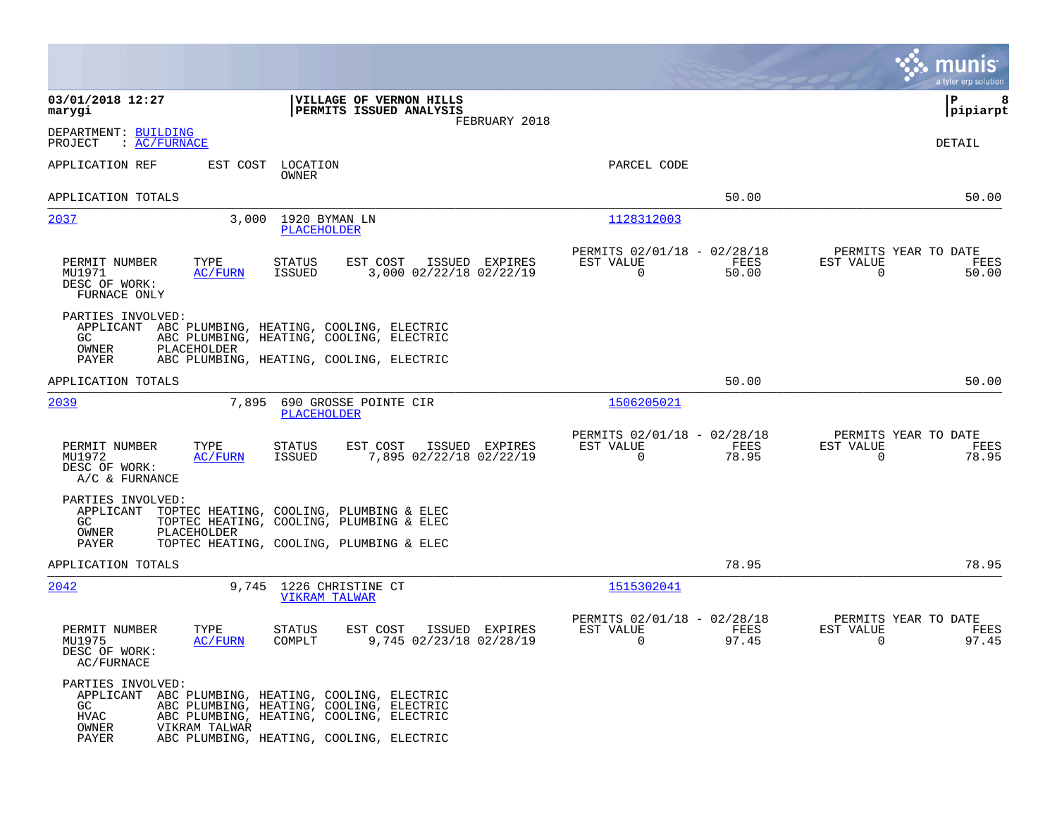|                                                                                                                                                                                                                                                               | a tyler erp solution                                                                                                                |
|---------------------------------------------------------------------------------------------------------------------------------------------------------------------------------------------------------------------------------------------------------------|-------------------------------------------------------------------------------------------------------------------------------------|
| 03/01/2018 12:27<br>VILLAGE OF VERNON HILLS<br>PERMITS ISSUED ANALYSIS<br>marygi<br>FEBRUARY 2018                                                                                                                                                             | ∣P<br>8<br> pipiarpt                                                                                                                |
| DEPARTMENT: BUILDING<br>: AC/FURNACE<br>PROJECT                                                                                                                                                                                                               | DETAIL                                                                                                                              |
| APPLICATION REF<br>EST COST<br>LOCATION<br>OWNER                                                                                                                                                                                                              | PARCEL CODE                                                                                                                         |
| APPLICATION TOTALS                                                                                                                                                                                                                                            | 50.00<br>50.00                                                                                                                      |
| 2037<br>3,000<br>1920 BYMAN LN<br>PLACEHOLDER                                                                                                                                                                                                                 | 1128312003                                                                                                                          |
| PERMIT NUMBER<br>TYPE<br><b>STATUS</b><br>EST COST<br>ISSUED EXPIRES<br>3,000 02/22/18 02/22/19<br>MU1971<br><b>AC/FURN</b><br>ISSUED<br>DESC OF WORK:<br>FURNACE ONLY                                                                                        | PERMITS 02/01/18 - 02/28/18<br>PERMITS YEAR TO DATE<br>EST VALUE<br>FEES<br>EST VALUE<br>FEES<br>0<br>$\mathbf 0$<br>50.00<br>50.00 |
| PARTIES INVOLVED:<br>APPLICANT ABC PLUMBING, HEATING, COOLING, ELECTRIC<br>GC.<br>ABC PLUMBING, HEATING, COOLING, ELECTRIC<br>OWNER<br>PLACEHOLDER<br>PAYER<br>ABC PLUMBING, HEATING, COOLING, ELECTRIC                                                       |                                                                                                                                     |
| APPLICATION TOTALS                                                                                                                                                                                                                                            | 50.00<br>50.00                                                                                                                      |
| 2039<br>7,895<br>690 GROSSE POINTE CIR<br>PLACEHOLDER                                                                                                                                                                                                         | 1506205021                                                                                                                          |
| PERMIT NUMBER<br>TYPE<br>EST COST<br>ISSUED EXPIRES<br>STATUS<br>7,895 02/22/18 02/22/19<br>MU1972<br><b>AC/FURN</b><br>ISSUED<br>DESC OF WORK:<br>A/C & FURNANCE                                                                                             | PERMITS 02/01/18 - 02/28/18<br>PERMITS YEAR TO DATE<br>EST VALUE<br>EST VALUE<br>FEES<br>FEES<br>78.95<br>0<br>78.95<br>0           |
| PARTIES INVOLVED:<br>APPLICANT<br>TOPTEC HEATING, COOLING, PLUMBING & ELEC<br>TOPTEC HEATING, COOLING, PLUMBING & ELEC<br>GC.<br>OWNER<br>PLACEHOLDER                                                                                                         |                                                                                                                                     |
| PAYER<br>TOPTEC HEATING, COOLING, PLUMBING & ELEC                                                                                                                                                                                                             |                                                                                                                                     |
| APPLICATION TOTALS                                                                                                                                                                                                                                            | 78.95<br>78.95                                                                                                                      |
| 2042<br>9,745 1226 CHRISTINE CT<br><b>VIKRAM TALWAR</b>                                                                                                                                                                                                       | 1515302041                                                                                                                          |
| EST COST<br>PERMIT NUMBER<br>TYPE<br><b>STATUS</b><br>ISSUED EXPIRES<br>MU1975<br>AC/FURN<br>COMPLT<br>9,745 02/23/18 02/28/19<br>DESC OF WORK:<br>AC/FURNACE                                                                                                 | PERMITS 02/01/18 - 02/28/18<br>PERMITS YEAR TO DATE<br>EST VALUE<br>EST VALUE<br>FEES<br>FEES<br>97.45<br>$\Omega$<br>97.45<br>0    |
| PARTIES INVOLVED:<br>APPLICANT ABC PLUMBING, HEATING, COOLING, ELECTRIC<br>GC.<br>ABC PLUMBING, HEATING, COOLING, ELECTRIC<br>HVAC<br>ABC PLUMBING, HEATING, COOLING, ELECTRIC<br>OWNER<br>VIKRAM TALWAR<br>PAYER<br>ABC PLUMBING, HEATING, COOLING, ELECTRIC |                                                                                                                                     |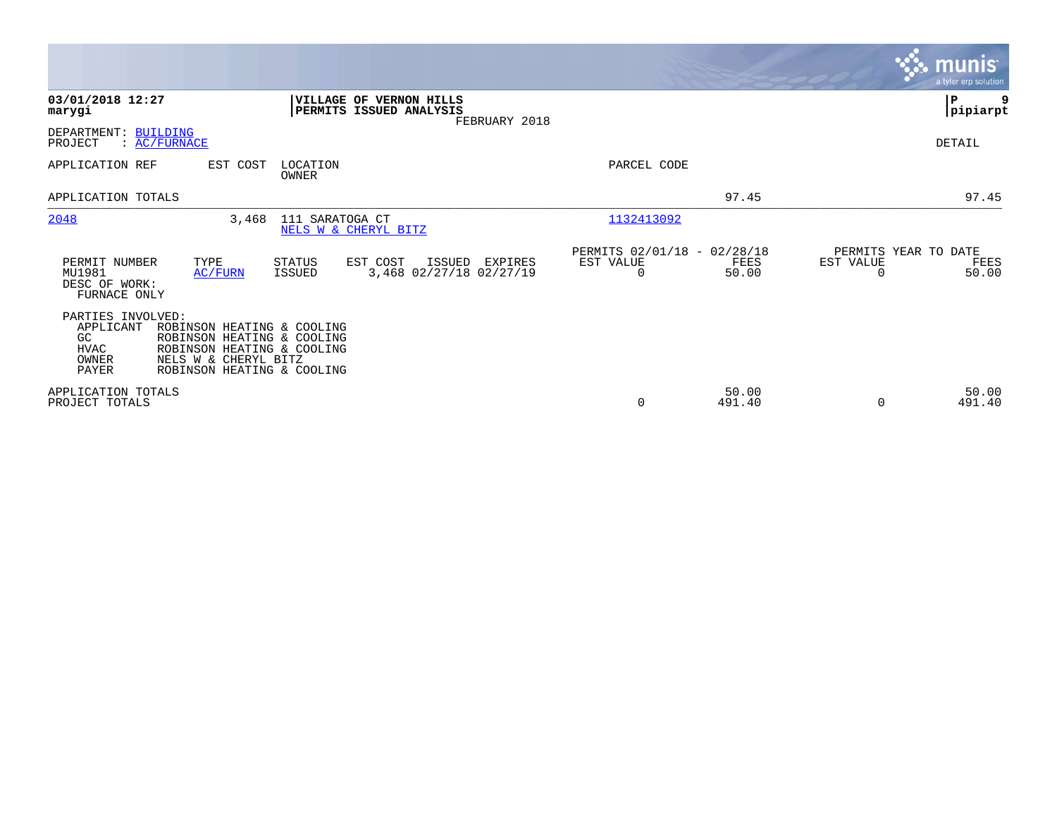|                                                                       |                                                                                                                                              |                   |                                                                            |                                                      |                 |                                               | <b>munis</b><br>a tyler erp solution |
|-----------------------------------------------------------------------|----------------------------------------------------------------------------------------------------------------------------------------------|-------------------|----------------------------------------------------------------------------|------------------------------------------------------|-----------------|-----------------------------------------------|--------------------------------------|
| 03/01/2018 12:27<br>marygi                                            |                                                                                                                                              |                   | VILLAGE OF VERNON HILLS<br><b>PERMITS ISSUED ANALYSIS</b><br>FEBRUARY 2018 |                                                      |                 |                                               | P<br>9<br> pipiarpt                  |
| DEPARTMENT: BUILDING<br>$\colon$ AC/FURNACE<br>PROJECT                |                                                                                                                                              |                   |                                                                            |                                                      |                 |                                               | DETAIL                               |
| APPLICATION REF                                                       | EST COST                                                                                                                                     | LOCATION<br>OWNER |                                                                            | PARCEL CODE                                          |                 |                                               |                                      |
| APPLICATION TOTALS                                                    |                                                                                                                                              |                   |                                                                            |                                                      | 97.45           |                                               | 97.45                                |
| 2048                                                                  | 3,468                                                                                                                                        | 111 SARATOGA CT   | NELS W & CHERYL BITZ                                                       | 1132413092                                           |                 |                                               |                                      |
| PERMIT NUMBER<br>MU1981<br>DESC OF WORK:<br>FURNACE ONLY              | TYPE<br>AC/FURN                                                                                                                              | STATUS<br>ISSUED  | EST COST<br>ISSUED<br>EXPIRES<br>3,468 02/27/18 02/27/19                   | PERMITS 02/01/18 - 02/28/18<br>EST VALUE<br>$\Omega$ | FEES<br>50.00   | PERMITS YEAR TO DATE<br>EST VALUE<br>$\Omega$ | FEES<br>50.00                        |
| PARTIES INVOLVED:<br>APPLICANT<br>GC<br><b>HVAC</b><br>OWNER<br>PAYER | ROBINSON HEATING & COOLING<br>ROBINSON HEATING & COOLING<br>ROBINSON HEATING & COOLING<br>NELS W & CHERYL BITZ<br>ROBINSON HEATING & COOLING |                   |                                                                            |                                                      |                 |                                               |                                      |
| APPLICATION TOTALS<br>PROJECT TOTALS                                  |                                                                                                                                              |                   |                                                                            | 0                                                    | 50.00<br>491.40 | $\Omega$                                      | 50.00<br>491.40                      |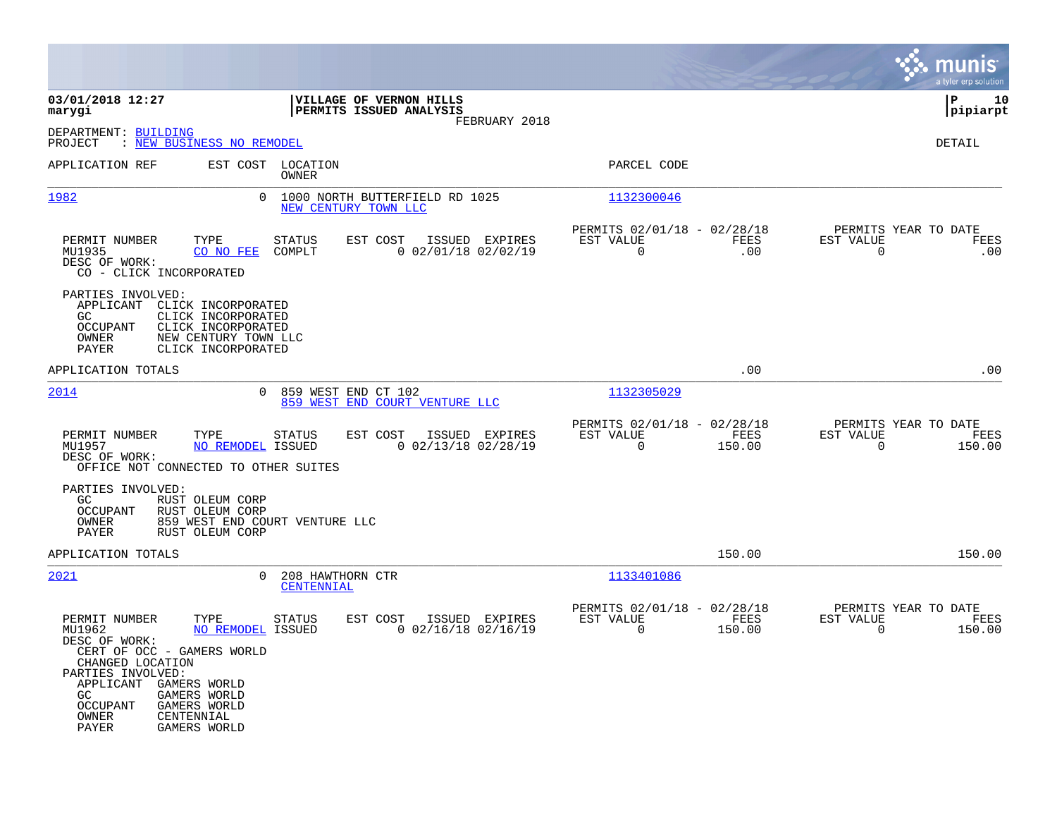|                                                                                                                                                                                                                                                                                                         |                                                                     |                                                         |                |                                                     | a tyler erp solution  |
|---------------------------------------------------------------------------------------------------------------------------------------------------------------------------------------------------------------------------------------------------------------------------------------------------------|---------------------------------------------------------------------|---------------------------------------------------------|----------------|-----------------------------------------------------|-----------------------|
| 03/01/2018 12:27<br>marygi                                                                                                                                                                                                                                                                              | VILLAGE OF VERNON HILLS<br>PERMITS ISSUED ANALYSIS<br>FEBRUARY 2018 |                                                         |                |                                                     | lР<br>10<br> pipiarpt |
| DEPARTMENT: BUILDING<br>: NEW BUSINESS NO REMODEL<br>PROJECT                                                                                                                                                                                                                                            |                                                                     |                                                         |                |                                                     | DETAIL                |
| APPLICATION REF<br>EST COST LOCATION                                                                                                                                                                                                                                                                    | OWNER                                                               | PARCEL CODE                                             |                |                                                     |                       |
| 1982                                                                                                                                                                                                                                                                                                    | 0 1000 NORTH BUTTERFIELD RD 1025<br>NEW CENTURY TOWN LLC            | 1132300046                                              |                |                                                     |                       |
| PERMIT NUMBER<br>TYPE<br>MU1935<br>CO NO FEE<br>COMPLT<br>DESC OF WORK:<br>CO - CLICK INCORPORATED                                                                                                                                                                                                      | EST COST<br>STATUS<br>ISSUED EXPIRES<br>$0$ 02/01/18 02/02/19       | PERMITS 02/01/18 - 02/28/18<br>EST VALUE<br>$\mathbf 0$ | FEES<br>.00    | PERMITS YEAR TO DATE<br>EST VALUE<br>$\overline{0}$ | FEES<br>.00           |
| PARTIES INVOLVED:<br>APPLICANT<br>CLICK INCORPORATED<br>CLICK INCORPORATED<br>GC<br>CLICK INCORPORATED<br>OCCUPANT<br><b>OWNER</b><br>NEW CENTURY TOWN LLC<br>CLICK INCORPORATED<br>PAYER                                                                                                               |                                                                     |                                                         |                |                                                     |                       |
| APPLICATION TOTALS                                                                                                                                                                                                                                                                                      |                                                                     |                                                         | .00            |                                                     | .00                   |
| 2014<br>$\overline{0}$                                                                                                                                                                                                                                                                                  | 859 WEST END CT 102<br>859 WEST END COURT VENTURE LLC               | 1132305029                                              |                |                                                     |                       |
| PERMIT NUMBER<br>TYPE<br><b>STATUS</b><br><b>NO REMODEL ISSUED</b><br>MU1957<br>DESC OF WORK:<br>OFFICE NOT CONNECTED TO OTHER SUITES                                                                                                                                                                   | EST COST<br>ISSUED EXPIRES<br>$0$ 02/13/18 02/28/19                 | PERMITS 02/01/18 - 02/28/18<br>EST VALUE<br>$\mathbf 0$ | FEES<br>150.00 | PERMITS YEAR TO DATE<br>EST VALUE<br>$\Omega$       | FEES<br>150.00        |
| PARTIES INVOLVED:<br>RUST OLEUM CORP<br>GC<br>RUST OLEUM CORP<br>OCCUPANT<br>OWNER<br>859 WEST END COURT VENTURE LLC<br>PAYER<br>RUST OLEUM CORP                                                                                                                                                        |                                                                     |                                                         |                |                                                     |                       |
| APPLICATION TOTALS                                                                                                                                                                                                                                                                                      |                                                                     |                                                         | 150.00         |                                                     | 150.00                |
| 2021<br>$\Omega$                                                                                                                                                                                                                                                                                        | 208 HAWTHORN CTR<br>CENTENNIAL                                      | 1133401086                                              |                |                                                     |                       |
| PERMIT NUMBER<br>TYPE<br>MU1962<br>NO REMODEL ISSUED<br>DESC OF WORK:<br>CERT OF OCC - GAMERS WORLD<br>CHANGED LOCATION<br>PARTIES INVOLVED:<br>APPLICANT<br><b>GAMERS WORLD</b><br><b>GAMERS WORLD</b><br>GC<br><b>OCCUPANT</b><br>GAMERS WORLD<br>OWNER<br>CENTENNIAL<br><b>PAYER</b><br>GAMERS WORLD | STATUS<br>EST COST<br>ISSUED EXPIRES<br>$0$ 02/16/18 02/16/19       | PERMITS 02/01/18 - 02/28/18<br>EST VALUE<br>$\Omega$    | FEES<br>150.00 | PERMITS YEAR TO DATE<br>EST VALUE<br>$\Omega$       | FEES<br>150.00        |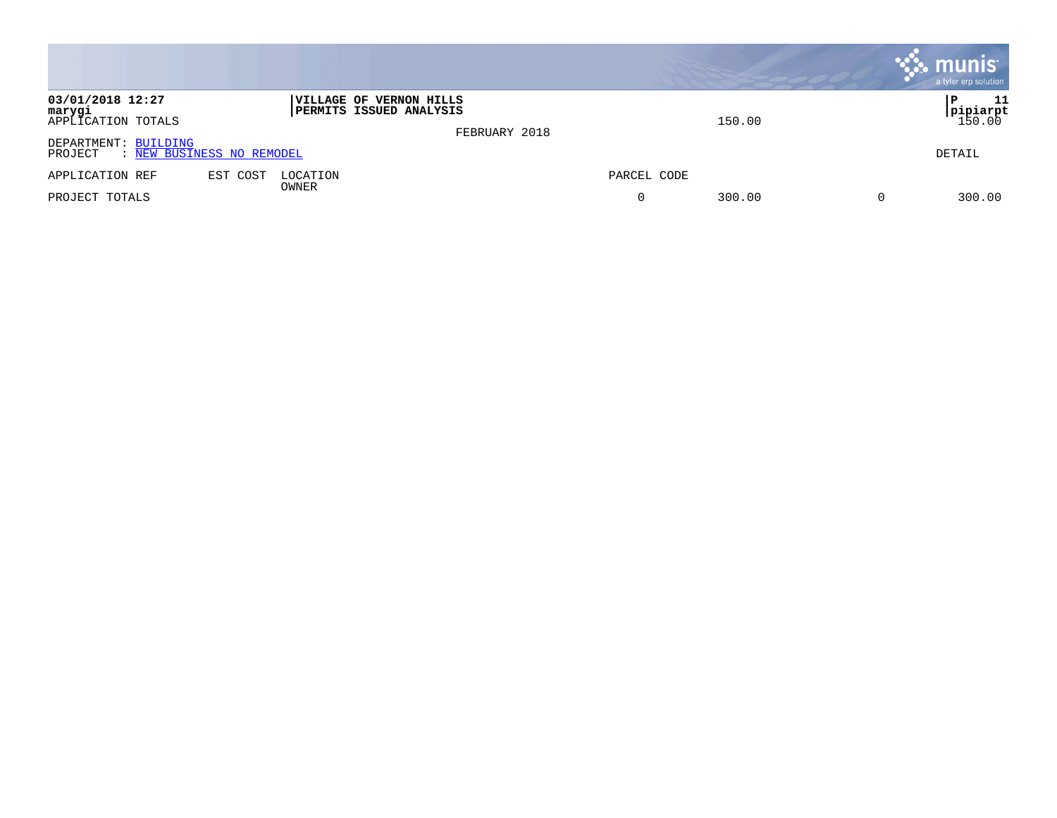|                                                              |                                                           |               |             | <b>munis</b><br>a tyler erp solution   |
|--------------------------------------------------------------|-----------------------------------------------------------|---------------|-------------|----------------------------------------|
| 03/01/2018 12:27<br>marygi<br>APPLICATION TOTALS             | VILLAGE OF VERNON HILLS<br><b>PERMITS ISSUED ANALYSIS</b> | FEBRUARY 2018 | 150.00      | -11<br>P.<br><b>pipiarpt</b><br>150.00 |
| DEPARTMENT: BUILDING<br>: NEW BUSINESS NO REMODEL<br>PROJECT |                                                           |               |             | DETAIL                                 |
| EST COST<br>APPLICATION REF                                  | LOCATION<br>OWNER                                         |               | PARCEL CODE |                                        |
| PROJECT TOTALS                                               |                                                           |               | 300.00<br>0 | 300.00<br>0                            |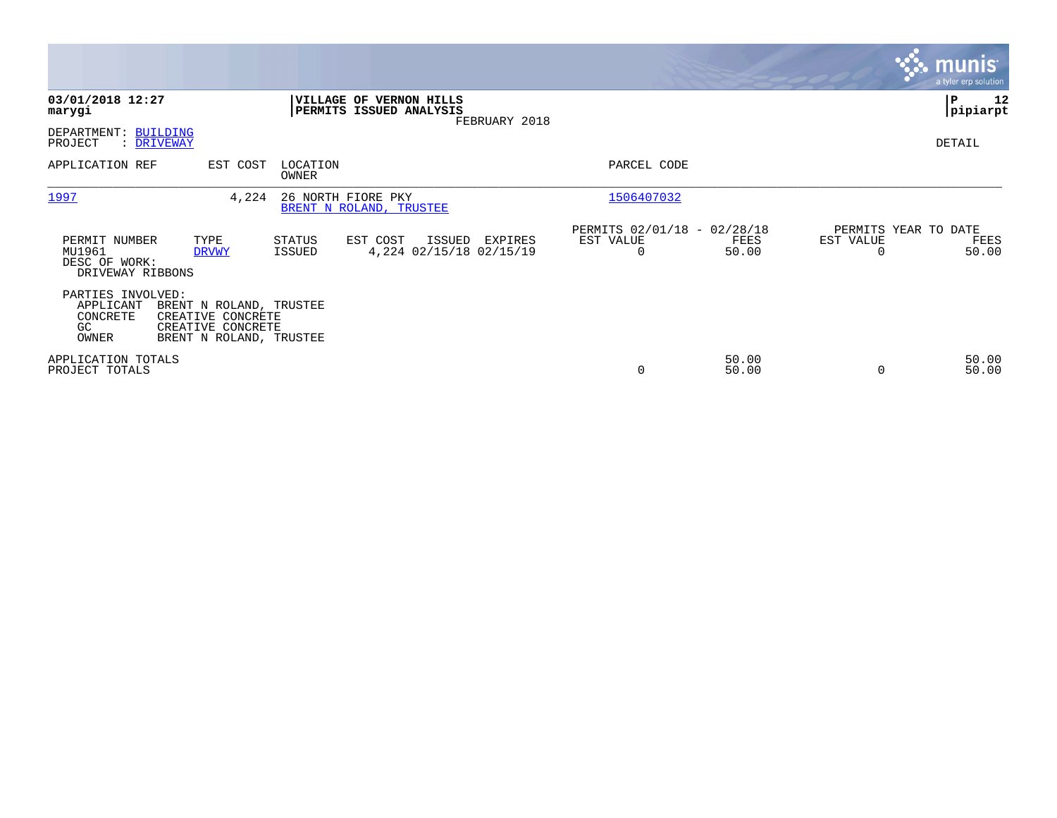|                                                              |                                                                                              |                    |                                                    |               |                                                      |                |                                               | <b>munis</b><br>a tyler erp solution |
|--------------------------------------------------------------|----------------------------------------------------------------------------------------------|--------------------|----------------------------------------------------|---------------|------------------------------------------------------|----------------|-----------------------------------------------|--------------------------------------|
| 03/01/2018 12:27<br>marygi                                   |                                                                                              |                    | VILLAGE OF VERNON HILLS<br>PERMITS ISSUED ANALYSIS | FEBRUARY 2018 |                                                      |                |                                               | P<br>12<br> pipiarpt                 |
| DEPARTMENT: BUILDING<br>PROJECT<br>: <u>DRIVEWAY</u>         |                                                                                              |                    |                                                    |               |                                                      |                |                                               | DETAIL                               |
| APPLICATION REF                                              | EST COST                                                                                     | LOCATION<br>OWNER  |                                                    |               | PARCEL CODE                                          |                |                                               |                                      |
| 1997                                                         | 4,224                                                                                        | 26 NORTH FIORE PKY | BRENT N ROLAND, TRUSTEE                            |               | 1506407032                                           |                |                                               |                                      |
| PERMIT NUMBER<br>MU1961<br>DESC OF WORK:<br>DRIVEWAY RIBBONS | TYPE<br><b>DRVWY</b>                                                                         | STATUS<br>ISSUED   | EST COST<br>ISSUED<br>4,224 02/15/18 02/15/19      | EXPIRES       | PERMITS 02/01/18 - 02/28/18<br>EST VALUE<br>$\Omega$ | FEES<br>50.00  | PERMITS YEAR TO DATE<br>EST VALUE<br>$\Omega$ | FEES<br>50.00                        |
| PARTIES INVOLVED:<br>APPLICANT<br>CONCRETE<br>GC.<br>OWNER   | BRENT N ROLAND, TRUSTEE<br>CREATIVE CONCRETE<br>CREATIVE CONCRETE<br>BRENT N ROLAND, TRUSTEE |                    |                                                    |               |                                                      |                |                                               |                                      |
| APPLICATION TOTALS<br>PROJECT TOTALS                         |                                                                                              |                    |                                                    |               | 0                                                    | 50.00<br>50.00 | $\Omega$                                      | 50.00<br>50.00                       |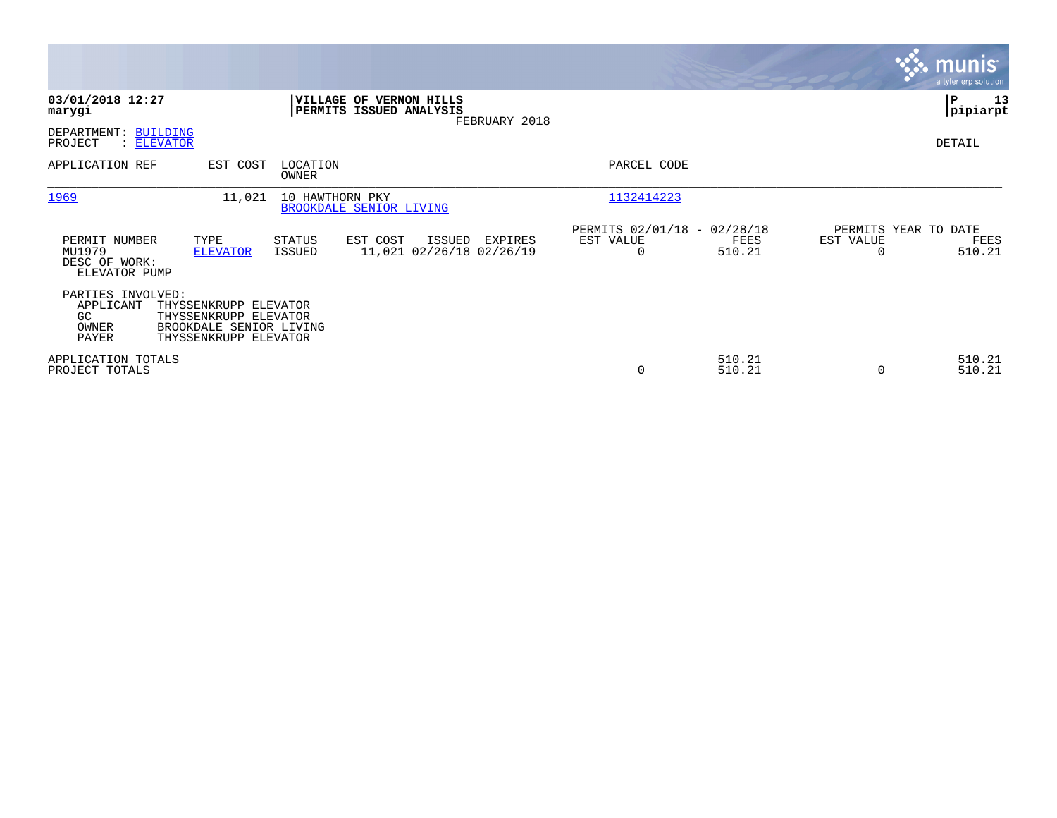|                                                           |                                                                                                    |                         |                                                    |               |                                                      |                  |                                               | <b>munis</b><br>a tyler erp solution |
|-----------------------------------------------------------|----------------------------------------------------------------------------------------------------|-------------------------|----------------------------------------------------|---------------|------------------------------------------------------|------------------|-----------------------------------------------|--------------------------------------|
| 03/01/2018 12:27<br>marygi                                |                                                                                                    |                         | VILLAGE OF VERNON HILLS<br>PERMITS ISSUED ANALYSIS | FEBRUARY 2018 |                                                      |                  |                                               | P<br>13<br> pipiarpt                 |
| DEPARTMENT: BUILDING<br>PROJECT                           | : ELEVATOR                                                                                         |                         |                                                    |               |                                                      |                  |                                               | DETAIL                               |
| APPLICATION REF                                           | EST COST                                                                                           | LOCATION<br>OWNER       |                                                    |               | PARCEL CODE                                          |                  |                                               |                                      |
| 1969                                                      | 11,021                                                                                             | 10 HAWTHORN PKY         | BROOKDALE SENIOR LIVING                            |               | 1132414223                                           |                  |                                               |                                      |
| PERMIT NUMBER<br>MU1979<br>DESC OF WORK:<br>ELEVATOR PUMP | TYPE<br><b>ELEVATOR</b>                                                                            | <b>STATUS</b><br>ISSUED | EST COST<br>ISSUED<br>11,021 02/26/18 02/26/19     | EXPIRES       | PERMITS 02/01/18 - 02/28/18<br>EST VALUE<br>$\Omega$ | FEES<br>510.21   | PERMITS YEAR TO DATE<br>EST VALUE<br>$\Omega$ | FEES<br>510.21                       |
| PARTIES INVOLVED:<br>APPLICANT<br>GC.<br>OWNER<br>PAYER   | THYSSENKRUPP ELEVATOR<br>THYSSENKRUPP ELEVATOR<br>BROOKDALE SENIOR LIVING<br>THYSSENKRUPP ELEVATOR |                         |                                                    |               |                                                      |                  |                                               |                                      |
| APPLICATION TOTALS<br>PROJECT TOTALS                      |                                                                                                    |                         |                                                    |               | 0                                                    | 510.21<br>510.21 | $\Omega$                                      | 510.21<br>510.21                     |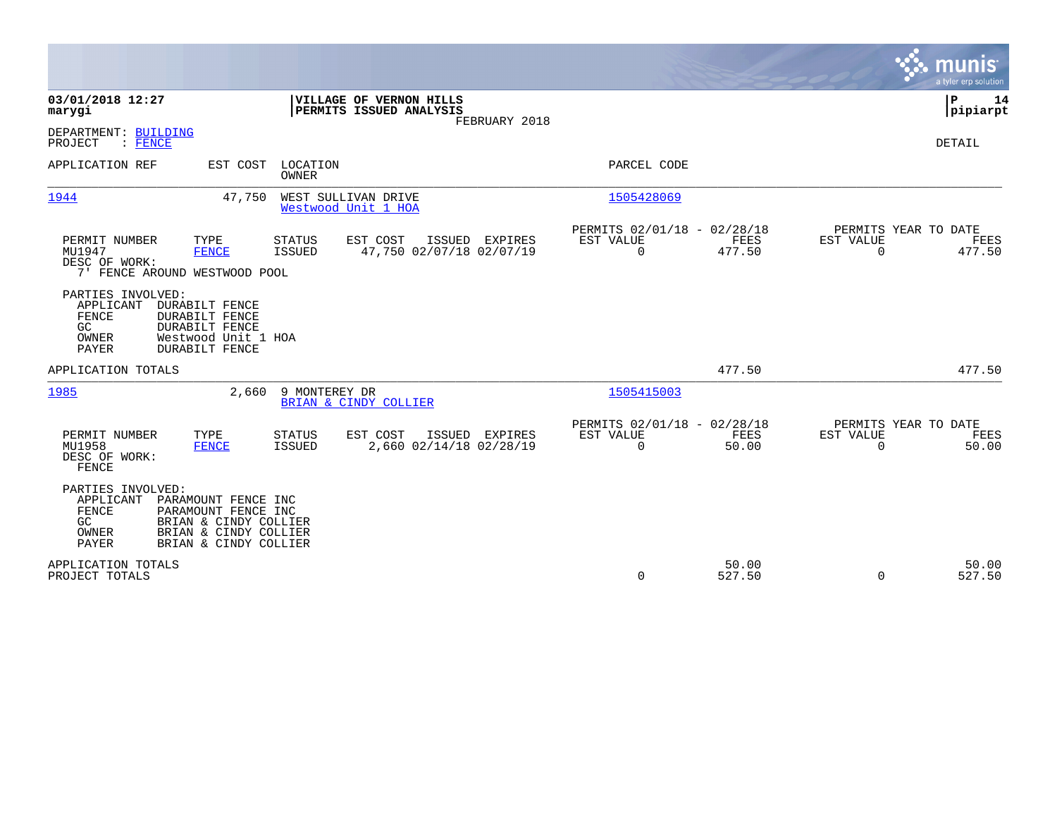|                                                                           |                                                                                                                         |                                |                                                    |                |                                                         |                       |                       | munis<br>a tyler erp solution          |
|---------------------------------------------------------------------------|-------------------------------------------------------------------------------------------------------------------------|--------------------------------|----------------------------------------------------|----------------|---------------------------------------------------------|-----------------------|-----------------------|----------------------------------------|
| 03/01/2018 12:27<br>marygi                                                |                                                                                                                         |                                | VILLAGE OF VERNON HILLS<br>PERMITS ISSUED ANALYSIS | FEBRUARY 2018  |                                                         |                       |                       | Þ<br>14<br> pipiarpt                   |
| DEPARTMENT: BUILDING<br>PROJECT<br>$:$ FENCE                              |                                                                                                                         |                                |                                                    |                |                                                         |                       |                       | <b>DETAIL</b>                          |
| APPLICATION REF                                                           |                                                                                                                         | EST COST LOCATION<br>OWNER     |                                                    |                | PARCEL CODE                                             |                       |                       |                                        |
| 1944                                                                      | 47,750                                                                                                                  |                                | WEST SULLIVAN DRIVE<br>Westwood Unit 1 HOA         |                | 1505428069                                              |                       |                       |                                        |
| PERMIT NUMBER<br>MU1947<br>DESC OF WORK:<br>7' FENCE AROUND WESTWOOD POOL | TYPE<br><b>FENCE</b>                                                                                                    | <b>STATUS</b><br><b>ISSUED</b> | EST COST<br>47,750 02/07/18 02/07/19               | ISSUED EXPIRES | PERMITS 02/01/18 - 02/28/18<br>EST VALUE<br>$\mathbf 0$ | <b>FEES</b><br>477.50 | EST VALUE<br>$\Omega$ | PERMITS YEAR TO DATE<br>FEES<br>477.50 |
| PARTIES INVOLVED:<br>APPLICANT<br>FENCE<br>GC<br>OWNER<br><b>PAYER</b>    | <b>DURABILT FENCE</b><br><b>DURABILT FENCE</b><br><b>DURABILT FENCE</b><br>Westwood Unit 1 HOA<br><b>DURABILT FENCE</b> |                                |                                                    |                |                                                         |                       |                       |                                        |
| APPLICATION TOTALS                                                        |                                                                                                                         |                                |                                                    |                |                                                         | 477.50                |                       | 477.50                                 |
| 1985                                                                      | 2,660                                                                                                                   | 9 MONTEREY DR                  | BRIAN & CINDY COLLIER                              |                | 1505415003                                              |                       |                       |                                        |
| PERMIT NUMBER<br>MU1958<br>DESC OF WORK:<br>FENCE                         | TYPE<br><b>FENCE</b>                                                                                                    | <b>STATUS</b><br>ISSUED        | EST COST<br>2,660 02/14/18 02/28/19                | ISSUED EXPIRES | PERMITS 02/01/18 - 02/28/18<br>EST VALUE<br>$\Omega$    | FEES<br>50.00         | EST VALUE<br>$\Omega$ | PERMITS YEAR TO DATE<br>FEES<br>50.00  |
| PARTIES INVOLVED:<br>APPLICANT<br>FENCE<br>GC<br>OWNER<br>PAYER           | PARAMOUNT FENCE INC<br>PARAMOUNT FENCE INC<br>BRIAN & CINDY COLLIER<br>BRIAN & CINDY COLLIER<br>BRIAN & CINDY COLLIER   |                                |                                                    |                |                                                         |                       |                       |                                        |
| APPLICATION TOTALS<br>PROJECT TOTALS                                      |                                                                                                                         |                                |                                                    |                | 0                                                       | 50.00<br>527.50       | $\Omega$              | 50.00<br>527.50                        |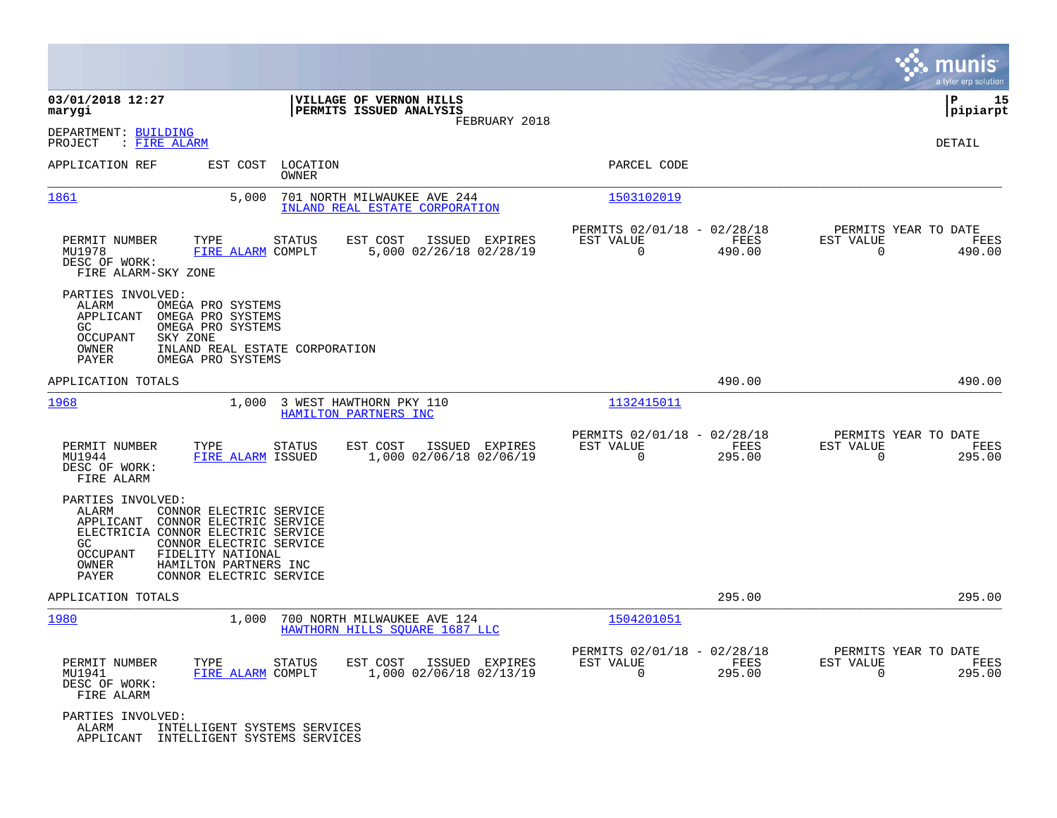|                                                                                                                                                                                                                                                                             |                                                                     |                                                                           | munis<br>a tyler erp solution                                      |
|-----------------------------------------------------------------------------------------------------------------------------------------------------------------------------------------------------------------------------------------------------------------------------|---------------------------------------------------------------------|---------------------------------------------------------------------------|--------------------------------------------------------------------|
| 03/01/2018 12:27<br>marygi                                                                                                                                                                                                                                                  | VILLAGE OF VERNON HILLS<br>PERMITS ISSUED ANALYSIS<br>FEBRUARY 2018 |                                                                           | l P<br>15<br> pipiarpt                                             |
| DEPARTMENT: BUILDING<br>PROJECT<br>: FIRE ALARM                                                                                                                                                                                                                             |                                                                     |                                                                           | DETAIL                                                             |
| EST COST<br>APPLICATION REF                                                                                                                                                                                                                                                 | LOCATION<br>OWNER                                                   | PARCEL CODE                                                               |                                                                    |
| 1861<br>5,000                                                                                                                                                                                                                                                               | 701 NORTH MILWAUKEE AVE 244<br>INLAND REAL ESTATE CORPORATION       | 1503102019                                                                |                                                                    |
| PERMIT NUMBER<br>TYPE<br>MU1978<br>FIRE ALARM COMPLT<br>DESC OF WORK:<br>FIRE ALARM-SKY ZONE                                                                                                                                                                                | EST COST<br>STATUS<br>ISSUED EXPIRES<br>5,000 02/26/18 02/28/19     | PERMITS 02/01/18 - 02/28/18<br>EST VALUE<br>FEES<br>490.00<br>$\Omega$    | PERMITS YEAR TO DATE<br>EST VALUE<br>FEES<br>$\mathbf 0$<br>490.00 |
| PARTIES INVOLVED:<br>ALARM<br>OMEGA PRO SYSTEMS<br>APPLICANT<br>OMEGA PRO SYSTEMS<br>GC<br>OMEGA PRO SYSTEMS<br><b>OCCUPANT</b><br>SKY ZONE<br>OWNER<br>PAYER<br>OMEGA PRO SYSTEMS                                                                                          | INLAND REAL ESTATE CORPORATION                                      |                                                                           |                                                                    |
| APPLICATION TOTALS                                                                                                                                                                                                                                                          |                                                                     | 490.00                                                                    | 490.00                                                             |
| 1968<br>1,000                                                                                                                                                                                                                                                               | 3 WEST HAWTHORN PKY 110<br>HAMILTON PARTNERS INC                    | 1132415011                                                                |                                                                    |
| PERMIT NUMBER<br>TYPE<br>MU1944<br>FIRE ALARM ISSUED<br>DESC OF WORK:<br>FIRE ALARM                                                                                                                                                                                         | EST COST<br>ISSUED EXPIRES<br>STATUS<br>1,000 02/06/18 02/06/19     | PERMITS 02/01/18 - 02/28/18<br>EST VALUE<br>FEES<br>$\Omega$<br>295.00    | PERMITS YEAR TO DATE<br>EST VALUE<br>FEES<br>0<br>295.00           |
| PARTIES INVOLVED:<br>ALARM<br>CONNOR ELECTRIC SERVICE<br>APPLICANT<br>CONNOR ELECTRIC SERVICE<br>ELECTRICIA CONNOR ELECTRIC SERVICE<br>GC<br>CONNOR ELECTRIC SERVICE<br>OCCUPANT<br>FIDELITY NATIONAL<br>OWNER<br>HAMILTON PARTNERS INC<br>PAYER<br>CONNOR ELECTRIC SERVICE |                                                                     |                                                                           |                                                                    |
| APPLICATION TOTALS                                                                                                                                                                                                                                                          |                                                                     | 295.00                                                                    | 295.00                                                             |
| 1980<br>1,000                                                                                                                                                                                                                                                               | 700 NORTH MILWAUKEE AVE 124<br>HAWTHORN HILLS SOUARE 1687 LLC       | 1504201051                                                                |                                                                    |
| PERMIT NUMBER<br>TYPE<br>MU1941<br>FIRE ALARM COMPLT<br>DESC OF WORK:<br>FIRE ALARM                                                                                                                                                                                         | STATUS<br>EST COST<br>ISSUED EXPIRES<br>1,000 02/06/18 02/13/19     | PERMITS 02/01/18 - 02/28/18<br>EST VALUE<br>FEES<br>$\mathbf 0$<br>295.00 | PERMITS YEAR TO DATE<br>EST VALUE<br>FEES<br>$\mathbf 0$<br>295.00 |
| PARTIES INVOLVED:<br>ALARM<br>INTELLIGENT SYSTEMS SERVICES<br>APPLICANT<br>INTELLIGENT SYSTEMS SERVICES                                                                                                                                                                     |                                                                     |                                                                           |                                                                    |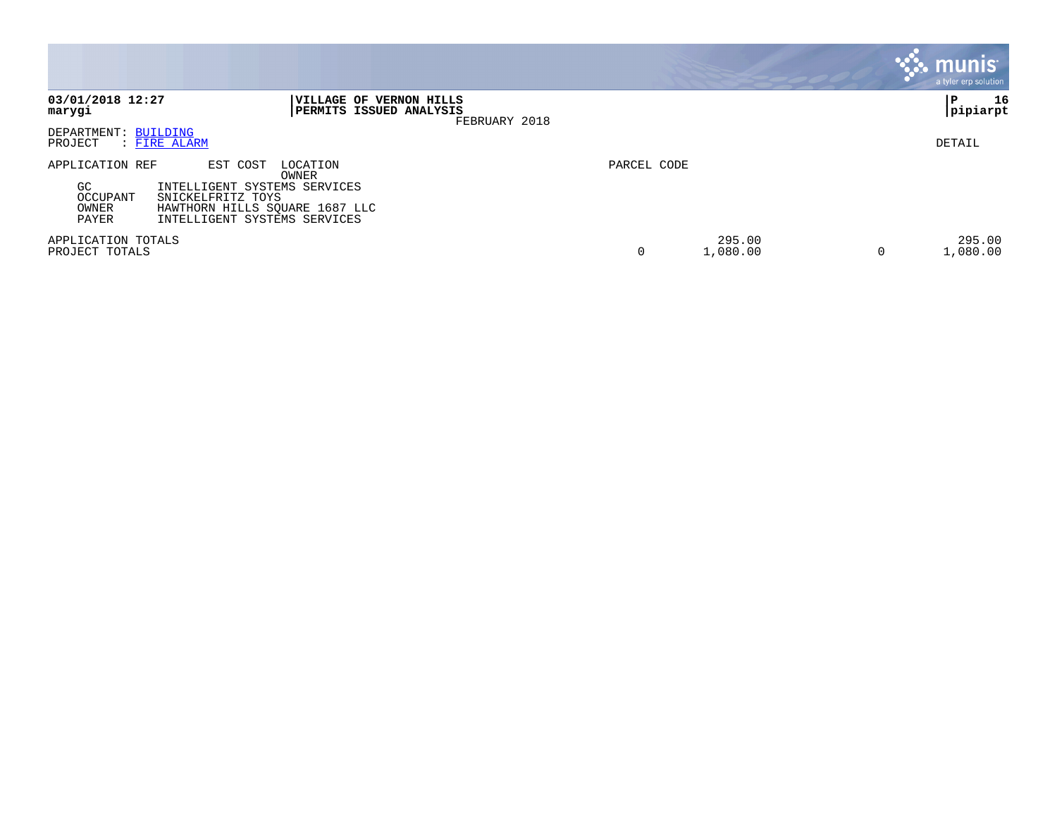|                                                      |                                                                                                                                                      |             |                    |   | <b>munis</b><br>a tyler erp solution |
|------------------------------------------------------|------------------------------------------------------------------------------------------------------------------------------------------------------|-------------|--------------------|---|--------------------------------------|
| 03/01/2018 12:27<br>marygi                           | VILLAGE OF VERNON HILLS<br>PERMITS ISSUED ANALYSIS<br>FEBRUARY 2018                                                                                  |             |                    |   | 16<br>ΙP<br> pipiarpt                |
| DEPARTMENT: BUILDING<br>PROJECT<br>: FIRE ALARM      |                                                                                                                                                      |             |                    |   | DETAIL                               |
| APPLICATION REF<br>GC.<br>OCCUPANT<br>OWNER<br>PAYER | EST COST<br>LOCATION<br>OWNER<br>INTELLIGENT SYSTEMS SERVICES<br>SNICKELFRITZ TOYS<br>HAWTHORN HILLS SQUARE 1687 LLC<br>INTELLIGENT SYSTEMS SERVICES | PARCEL CODE |                    |   |                                      |
| APPLICATION TOTALS<br>PROJECT TOTALS                 |                                                                                                                                                      | $\mathbf 0$ | 295.00<br>1,080.00 | 0 | 295.00<br>1,080.00                   |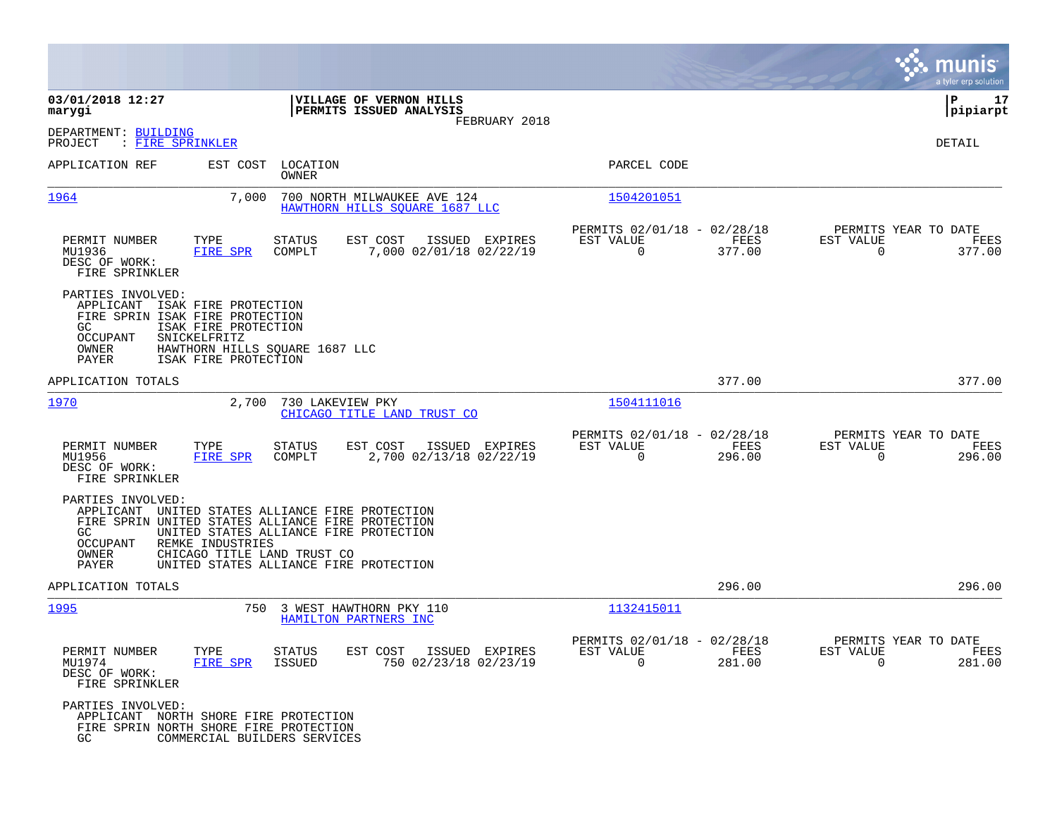|                                                                                                                                                                                                                               |                                                                                                                            |                                                                        | munis<br>a tyler erp solution                                   |
|-------------------------------------------------------------------------------------------------------------------------------------------------------------------------------------------------------------------------------|----------------------------------------------------------------------------------------------------------------------------|------------------------------------------------------------------------|-----------------------------------------------------------------|
| 03/01/2018 12:27<br>marygi                                                                                                                                                                                                    | VILLAGE OF VERNON HILLS<br>PERMITS ISSUED ANALYSIS                                                                         |                                                                        | ΙP<br>17<br>pipiarpt                                            |
| DEPARTMENT: BUILDING<br>: FIRE SPRINKLER<br>PROJECT                                                                                                                                                                           | FEBRUARY 2018                                                                                                              |                                                                        | DETAIL                                                          |
| APPLICATION REF<br>EST COST                                                                                                                                                                                                   | LOCATION<br>OWNER                                                                                                          | PARCEL CODE                                                            |                                                                 |
| 1964<br>7,000                                                                                                                                                                                                                 | 700 NORTH MILWAUKEE AVE 124<br>HAWTHORN HILLS SOUARE 1687 LLC                                                              | 1504201051                                                             |                                                                 |
| PERMIT NUMBER<br>TYPE<br>MU1936<br>FIRE SPR<br>DESC OF WORK:<br>FIRE SPRINKLER                                                                                                                                                | <b>STATUS</b><br>EST COST<br>ISSUED EXPIRES<br>7,000 02/01/18 02/22/19<br>COMPLT                                           | PERMITS 02/01/18 - 02/28/18<br>EST VALUE<br>FEES<br>$\Omega$<br>377.00 | PERMITS YEAR TO DATE<br>EST VALUE<br>FEES<br>$\Omega$<br>377.00 |
| PARTIES INVOLVED:<br>APPLICANT ISAK FIRE PROTECTION<br>FIRE SPRIN ISAK FIRE PROTECTION<br>GC.<br>ISAK FIRE PROTECTION<br>OCCUPANT<br>SNICKELFRITZ<br>OWNER<br>HAWTHORN HILLS SQUARE 1687 LLC<br>PAYER<br>ISAK FIRE PROTECTION |                                                                                                                            |                                                                        |                                                                 |
| APPLICATION TOTALS                                                                                                                                                                                                            |                                                                                                                            | 377.00                                                                 | 377.00                                                          |
| 1970<br>2,700                                                                                                                                                                                                                 | 730 LAKEVIEW PKY<br>CHICAGO TITLE LAND TRUST CO                                                                            | 1504111016                                                             |                                                                 |
| PERMIT NUMBER<br>TYPE<br>MU1956<br>FIRE SPR<br>DESC OF WORK:<br>FIRE SPRINKLER                                                                                                                                                | EST COST<br><b>STATUS</b><br>ISSUED EXPIRES<br>COMPLT<br>2,700 02/13/18 02/22/19                                           | PERMITS 02/01/18 - 02/28/18<br>EST VALUE<br>FEES<br>$\Omega$<br>296.00 | PERMITS YEAR TO DATE<br>EST VALUE<br>FEES<br>$\Omega$<br>296.00 |
| PARTIES INVOLVED:<br>APPLICANT<br>FIRE SPRIN UNITED STATES ALLIANCE FIRE PROTECTION<br>GC.<br>OCCUPANT<br>REMKE INDUSTRIES<br>CHICAGO TITLE LAND TRUST CO<br>OWNER<br>PAYER                                                   | UNITED STATES ALLIANCE FIRE PROTECTION<br>UNITED STATES ALLIANCE FIRE PROTECTION<br>UNITED STATES ALLIANCE FIRE PROTECTION |                                                                        |                                                                 |
| APPLICATION TOTALS                                                                                                                                                                                                            |                                                                                                                            | 296.00                                                                 | 296.00                                                          |
| 1995<br>750                                                                                                                                                                                                                   | 3 WEST HAWTHORN PKY 110<br>HAMILTON PARTNERS INC                                                                           | 1132415011                                                             |                                                                 |
| PERMIT NUMBER<br>TYPE<br>MU1974<br>FIRE SPR<br>DESC OF WORK:<br>FIRE SPRINKLER                                                                                                                                                | EST COST<br>ISSUED<br><b>STATUS</b><br>EXPIRES<br><b>ISSUED</b><br>750 02/23/18 02/23/19                                   | PERMITS 02/01/18 - 02/28/18<br>EST VALUE<br>FEES<br>0<br>281.00        | PERMITS YEAR TO DATE<br>EST VALUE<br>FEES<br>$\Omega$<br>281.00 |
| PARTIES INVOLVED:<br>APPLICANT NORTH SHORE FIRE PROTECTION<br>FIRE SPRIN NORTH SHORE FIRE PROTECTION<br>GC.<br>COMMERCIAL BUILDERS SERVICES                                                                                   |                                                                                                                            |                                                                        |                                                                 |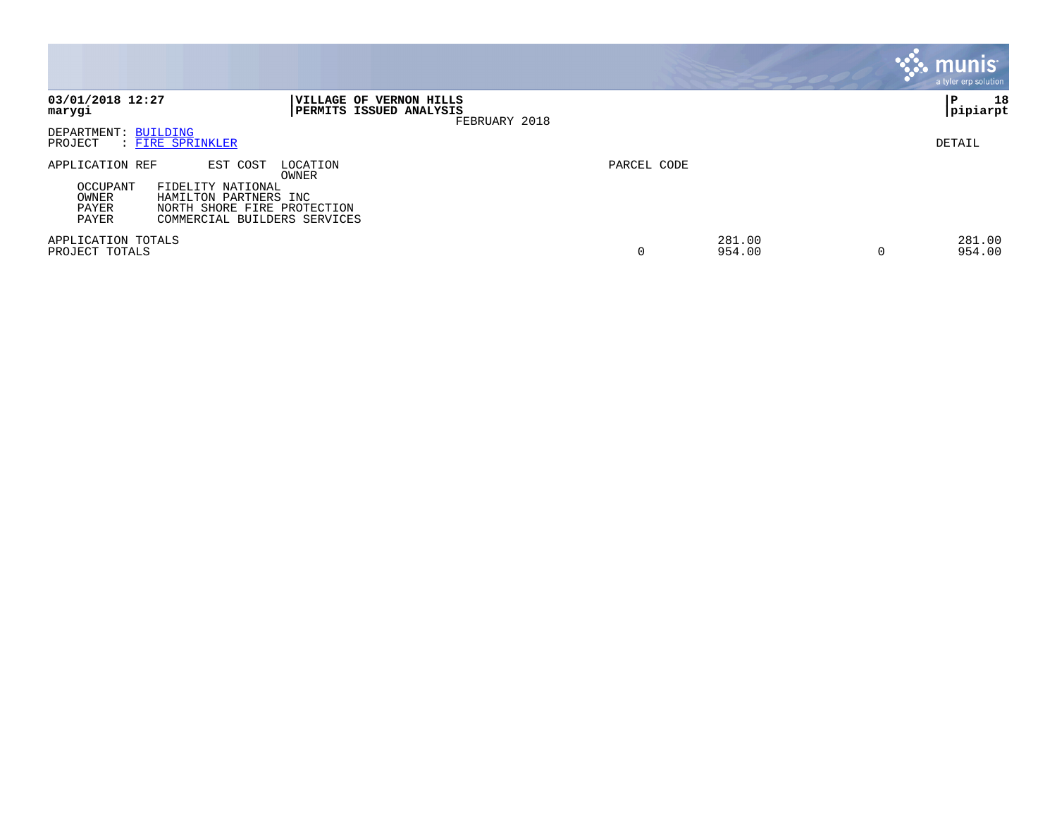|                                                        |                                                                                                                                            |             |                       | munis <sup>®</sup><br>a tyler erp solution |
|--------------------------------------------------------|--------------------------------------------------------------------------------------------------------------------------------------------|-------------|-----------------------|--------------------------------------------|
| 03/01/2018 12:27<br>marygi                             | VILLAGE OF VERNON HILLS<br>PERMITS ISSUED ANALYSIS<br>FEBRUARY 2018                                                                        |             |                       | 18<br>PΡ<br> pipiarpt                      |
| DEPARTMENT: BUILDING<br>PROJECT                        | : FIRE SPRINKLER                                                                                                                           |             |                       | DETAIL                                     |
| APPLICATION REF<br>OCCUPANT<br>OWNER<br>PAYER<br>PAYER | EST COST<br>LOCATION<br>OWNER<br>FIDELITY NATIONAL<br>HAMILTON PARTNERS INC<br>NORTH SHORE FIRE PROTECTION<br>COMMERCIAL BUILDERS SERVICES | PARCEL CODE |                       |                                            |
| APPLICATION TOTALS<br>PROJECT TOTALS                   |                                                                                                                                            | 0           | 281.00<br>954.00<br>0 | 281.00<br>954.00                           |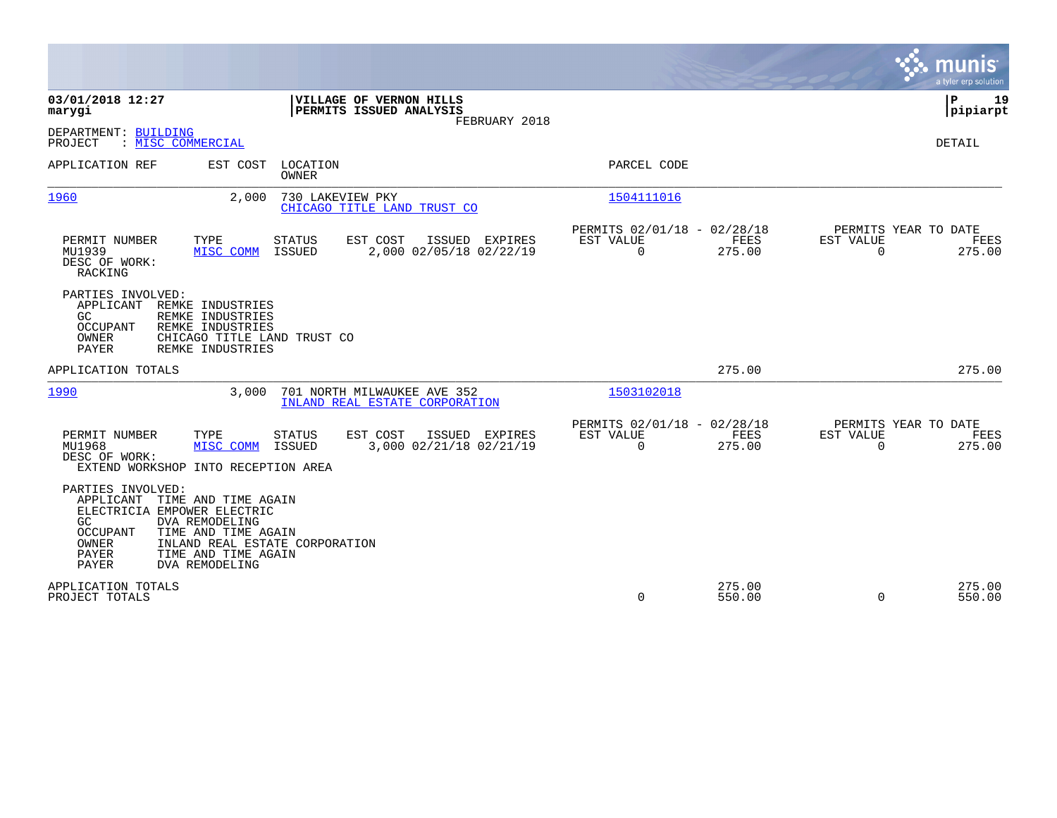|                                                                                                                                                                                                                                                                             |                                                                           | munis<br>a tyler erp solution                                          |
|-----------------------------------------------------------------------------------------------------------------------------------------------------------------------------------------------------------------------------------------------------------------------------|---------------------------------------------------------------------------|------------------------------------------------------------------------|
| 03/01/2018 12:27<br>VILLAGE OF VERNON HILLS<br>PERMITS ISSUED ANALYSIS<br>marygi<br>FEBRUARY 2018                                                                                                                                                                           |                                                                           | ΙP<br>19<br> pipiarpt                                                  |
| DEPARTMENT: BUILDING<br>: MISC COMMERCIAL<br>PROJECT                                                                                                                                                                                                                        |                                                                           | <b>DETAIL</b>                                                          |
| APPLICATION REF<br>EST COST<br>LOCATION<br>OWNER                                                                                                                                                                                                                            | PARCEL CODE                                                               |                                                                        |
| 1960<br>2,000<br>730 LAKEVIEW PKY<br>CHICAGO TITLE LAND TRUST CO                                                                                                                                                                                                            | 1504111016                                                                |                                                                        |
| TYPE<br>STATUS<br>EST COST<br>PERMIT NUMBER<br>ISSUED EXPIRES<br>MU1939<br>MISC COMM<br><b>ISSUED</b><br>2,000 02/05/18 02/22/19<br>DESC OF WORK:<br>RACKING                                                                                                                | PERMITS 02/01/18 - 02/28/18<br>EST VALUE<br>FEES<br>$\Omega$<br>275.00    | PERMITS YEAR TO DATE<br>EST VALUE<br>FEES<br>$\Omega$<br>275.00        |
| PARTIES INVOLVED:<br>APPLICANT<br>REMKE INDUSTRIES<br>GC.<br>REMKE INDUSTRIES<br>REMKE INDUSTRIES<br>OCCUPANT<br>OWNER<br>CHICAGO TITLE LAND TRUST CO<br>PAYER<br>REMKE INDUSTRIES                                                                                          |                                                                           |                                                                        |
| APPLICATION TOTALS                                                                                                                                                                                                                                                          | 275.00                                                                    | 275.00                                                                 |
| 1990<br>3.000<br>701 NORTH MILWAUKEE AVE 352<br>INLAND REAL ESTATE CORPORATION                                                                                                                                                                                              | 1503102018                                                                |                                                                        |
| TYPE<br>EST COST<br>ISSUED EXPIRES<br>PERMIT NUMBER<br><b>STATUS</b><br>MU1968<br>MISC COMM<br>ISSUED<br>3,000 02/21/18 02/21/19<br>DESC OF WORK:<br>EXTEND WORKSHOP INTO RECEPTION AREA                                                                                    | PERMITS 02/01/18 - 02/28/18<br>EST VALUE<br>FEES<br>$\mathbf 0$<br>275.00 | PERMITS YEAR TO DATE<br>EST VALUE<br><b>FEES</b><br>$\Omega$<br>275.00 |
| PARTIES INVOLVED:<br>APPLICANT<br>TIME AND TIME AGAIN<br>ELECTRICIA EMPOWER ELECTRIC<br><b>DVA REMODELING</b><br>GC.<br><b>OCCUPANT</b><br>TIME AND TIME AGAIN<br>OWNER<br>INLAND REAL ESTATE CORPORATION<br>PAYER<br>TIME AND TIME AGAIN<br><b>PAYER</b><br>DVA REMODELING |                                                                           |                                                                        |
| APPLICATION TOTALS<br>PROJECT TOTALS                                                                                                                                                                                                                                        | 275.00<br>0<br>550.00                                                     | 275.00<br>$\mathbf 0$<br>550.00                                        |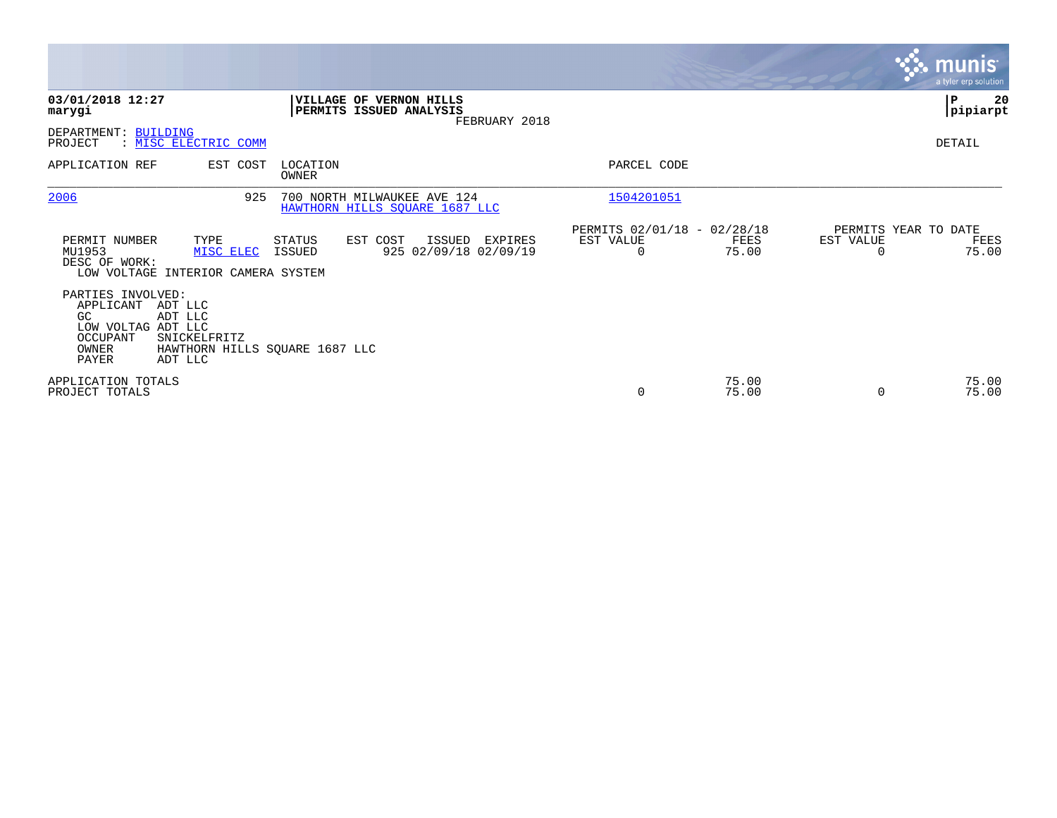|                                                                                                                                            |                                |                                                                     |                                               |                |           | <b>munis</b><br>a tyler erp solution  |
|--------------------------------------------------------------------------------------------------------------------------------------------|--------------------------------|---------------------------------------------------------------------|-----------------------------------------------|----------------|-----------|---------------------------------------|
| 03/01/2018 12:27<br>marygi                                                                                                                 |                                | VILLAGE OF VERNON HILLS<br>PERMITS ISSUED ANALYSIS<br>FEBRUARY 2018 |                                               |                |           | ∣P<br>20<br> pipiarpt                 |
| DEPARTMENT: BUILDING<br>: MISC ELECTRIC COMM<br>PROJECT                                                                                    |                                |                                                                     |                                               |                |           | DETAIL                                |
| APPLICATION REF                                                                                                                            | EST COST<br>LOCATION<br>OWNER  |                                                                     | PARCEL CODE                                   |                |           |                                       |
| 2006                                                                                                                                       | 925                            | 700 NORTH MILWAUKEE AVE 124<br>HAWTHORN HILLS SQUARE 1687 LLC       | 1504201051                                    |                |           |                                       |
| PERMIT NUMBER<br>TYPE<br>MU1953<br>MISC ELEC<br>DESC OF WORK:<br>LOW VOLTAGE INTERIOR CAMERA SYSTEM                                        | STATUS<br>ISSUED               | EST COST<br>ISSUED<br>EXPIRES<br>925 02/09/18 02/09/19              | PERMITS 02/01/18 - 02/28/18<br>EST VALUE<br>0 | FEES<br>75.00  | EST VALUE | PERMITS YEAR TO DATE<br>FEES<br>75.00 |
| PARTIES INVOLVED:<br>APPLICANT<br>ADT LLC<br>GC.<br>ADT LLC<br>LOW VOLTAG ADT LLC<br>OCCUPANT<br>SNICKELFRITZ<br>OWNER<br>PAYER<br>ADT LLC | HAWTHORN HILLS SQUARE 1687 LLC |                                                                     |                                               |                |           |                                       |
| APPLICATION TOTALS<br>PROJECT TOTALS                                                                                                       |                                |                                                                     | 0                                             | 75.00<br>75.00 | $\Omega$  | 75.00<br>75.00                        |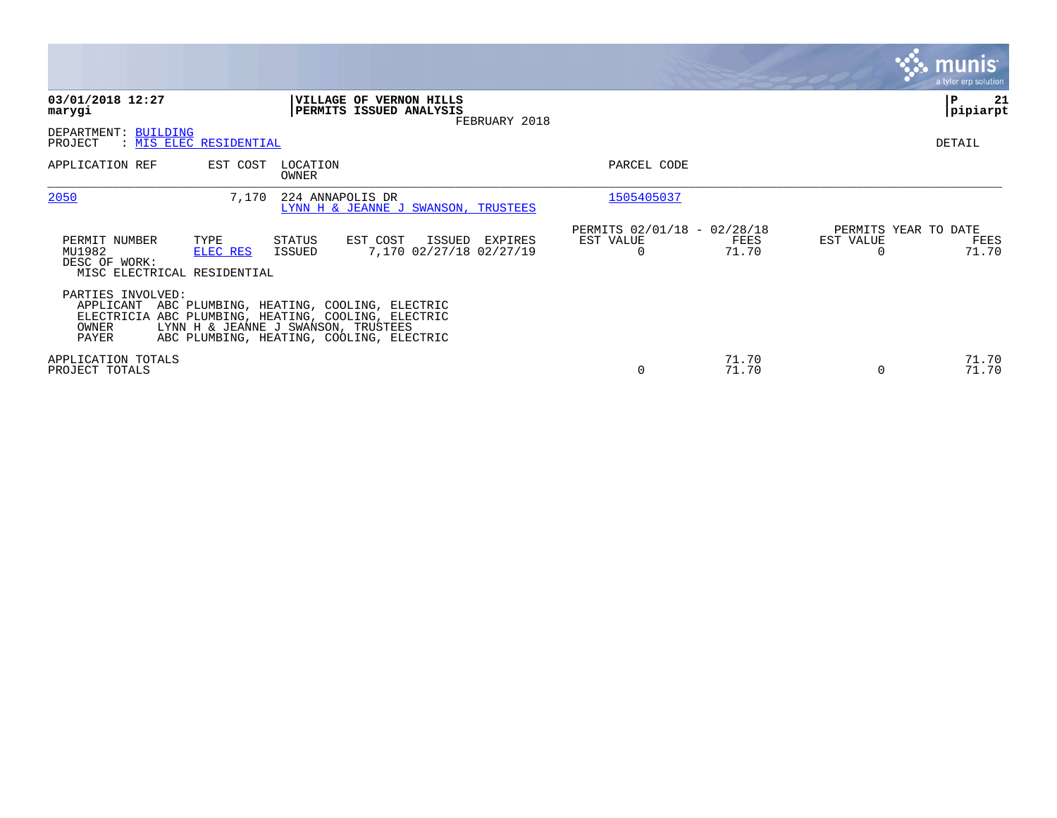|                                                                                             |                                                                                                                                                                                              |                                                      |                |                                               | <b>munis</b><br>a tyler erp solution |
|---------------------------------------------------------------------------------------------|----------------------------------------------------------------------------------------------------------------------------------------------------------------------------------------------|------------------------------------------------------|----------------|-----------------------------------------------|--------------------------------------|
| 03/01/2018 12:27<br>marygi                                                                  | VILLAGE OF VERNON HILLS<br>PERMITS ISSUED ANALYSIS<br>FEBRUARY 2018                                                                                                                          |                                                      |                |                                               | P<br>21<br> pipiarpt                 |
| DEPARTMENT: BUILDING<br>PROJECT<br>: MIS ELEC RESIDENTIAL                                   |                                                                                                                                                                                              |                                                      |                |                                               | DETAIL                               |
| EST COST<br>APPLICATION REF                                                                 | LOCATION<br>OWNER                                                                                                                                                                            | PARCEL CODE                                          |                |                                               |                                      |
| 2050<br>7,170                                                                               | 224 ANNAPOLIS DR<br>LYNN H & JEANNE J SWANSON, TRUSTEES                                                                                                                                      | 1505405037                                           |                |                                               |                                      |
| PERMIT NUMBER<br>TYPE<br>MU1982<br>ELEC RES<br>DESC OF WORK:<br>MISC ELECTRICAL RESIDENTIAL | EST COST<br>ISSUED EXPIRES<br>STATUS<br>7,170 02/27/18 02/27/19<br>ISSUED                                                                                                                    | PERMITS 02/01/18 - 02/28/18<br>EST VALUE<br>$\Omega$ | FEES<br>71.70  | PERMITS YEAR TO DATE<br>EST VALUE<br>$\Omega$ | FEES<br>71.70                        |
| PARTIES INVOLVED:<br>OWNER<br>PAYER                                                         | APPLICANT ABC PLUMBING, HEATING, COOLING, ELECTRIC<br>ELECTRICIA ABC PLUMBING, HEATING, COOLING, ELECTRIC<br>LYNN H & JEANNE J SWANSON, TRUSTEES<br>ABC PLUMBING, HEATING, COOLING, ELECTRIC |                                                      |                |                                               |                                      |
| APPLICATION TOTALS<br>PROJECT TOTALS                                                        |                                                                                                                                                                                              | 0                                                    | 71.70<br>71.70 | $\Omega$                                      | 71.70<br>71.70                       |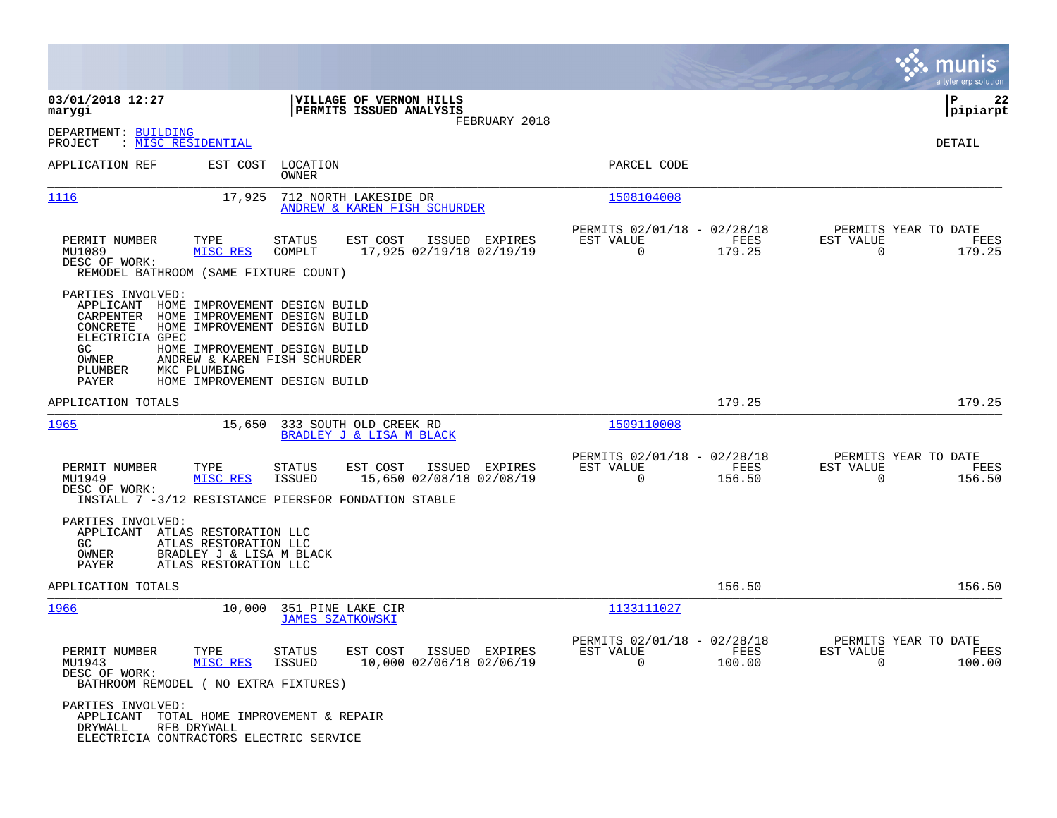|                                                                                                                      |                                                                                                                                                                                                                   |                            |                                                           |                |                                                            |                |                                               | munis<br>a tyler erp solution |
|----------------------------------------------------------------------------------------------------------------------|-------------------------------------------------------------------------------------------------------------------------------------------------------------------------------------------------------------------|----------------------------|-----------------------------------------------------------|----------------|------------------------------------------------------------|----------------|-----------------------------------------------|-------------------------------|
| 03/01/2018 12:27<br>marygi                                                                                           |                                                                                                                                                                                                                   |                            | VILLAGE OF VERNON HILLS<br>PERMITS ISSUED ANALYSIS        |                |                                                            |                |                                               | l P<br>22<br> pipiarpt        |
| DEPARTMENT: BUILDING<br>: <u>MISC RESIDENTIAL</u><br>PROJECT                                                         |                                                                                                                                                                                                                   |                            |                                                           | FEBRUARY 2018  |                                                            |                |                                               | DETAIL                        |
| APPLICATION REF                                                                                                      |                                                                                                                                                                                                                   | EST COST LOCATION<br>OWNER |                                                           |                | PARCEL CODE                                                |                |                                               |                               |
| 1116                                                                                                                 | 17,925                                                                                                                                                                                                            |                            | 712 NORTH LAKESIDE DR<br>ANDREW & KAREN FISH SCHURDER     |                | 1508104008                                                 |                |                                               |                               |
| PERMIT NUMBER<br>MU1089<br>DESC OF WORK:<br>REMODEL BATHROOM (SAME FIXTURE COUNT)                                    | TYPE<br>MISC RES                                                                                                                                                                                                  | STATUS<br>COMPLT           | EST COST<br>17,925 02/19/18 02/19/19                      | ISSUED EXPIRES | PERMITS 02/01/18 - 02/28/18<br>EST VALUE<br>$\Omega$       | FEES<br>179.25 | PERMITS YEAR TO DATE<br>EST VALUE<br>$\Omega$ | FEES<br>179.25                |
| PARTIES INVOLVED:<br>APPLICANT<br>CARPENTER<br>CONCRETE<br>ELECTRICIA GPEC<br>GC.<br>OWNER<br>PLUMBER<br>PAYER       | HOME IMPROVEMENT DESIGN BUILD<br>HOME IMPROVEMENT DESIGN BUILD<br>HOME IMPROVEMENT DESIGN BUILD<br>HOME IMPROVEMENT DESIGN BUILD<br>ANDREW & KAREN FISH SCHURDER<br>MKC PLUMBING<br>HOME IMPROVEMENT DESIGN BUILD |                            |                                                           |                |                                                            |                |                                               |                               |
| APPLICATION TOTALS                                                                                                   |                                                                                                                                                                                                                   |                            |                                                           |                |                                                            | 179.25         |                                               | 179.25                        |
| 1965                                                                                                                 |                                                                                                                                                                                                                   |                            | 15,650 333 SOUTH OLD CREEK RD<br>BRADLEY J & LISA M BLACK |                | 1509110008                                                 |                |                                               |                               |
| PERMIT NUMBER<br>MU1949<br>DESC OF WORK:<br>INSTALL 7 -3/12 RESISTANCE PIERSFOR FONDATION STABLE                     | TYPE<br>MISC RES                                                                                                                                                                                                  | STATUS<br>ISSUED           | EST COST<br>15,650 02/08/18 02/08/19                      | ISSUED EXPIRES | PERMITS 02/01/18 - 02/28/18<br>EST VALUE<br>$\overline{0}$ | FEES<br>156.50 | PERMITS YEAR TO DATE<br>EST VALUE<br>$\Omega$ | FEES<br>156.50                |
| PARTIES INVOLVED:<br>APPLICANT ATLAS RESTORATION LLC<br>GC.<br>OWNER<br>PAYER                                        | ATLAS RESTORATION LLC<br>BRADLEY J & LISA M BLACK<br>ATLAS RESTORATION LLC                                                                                                                                        |                            |                                                           |                |                                                            |                |                                               |                               |
| APPLICATION TOTALS                                                                                                   |                                                                                                                                                                                                                   |                            |                                                           |                |                                                            | 156.50         |                                               | 156.50                        |
| <u> 1966</u>                                                                                                         | 10,000                                                                                                                                                                                                            | <b>JAMES SZATKOWSKI</b>    | 351 PINE LAKE CIR                                         |                | 1133111027                                                 |                |                                               |                               |
| PERMIT NUMBER<br>MU1943<br>DESC OF WORK:<br>BATHROOM REMODEL ( NO EXTRA FIXTURES)                                    | TYPE<br>MISC RES                                                                                                                                                                                                  | STATUS<br>ISSUED           | EST COST ISSUED EXPIRES<br>10,000 02/06/18 02/06/19       |                | PERMITS 02/01/18 - 02/28/18<br>EST VALUE<br>$\Omega$       | FEES<br>100.00 | PERMITS YEAR TO DATE<br>EST VALUE<br>$\Omega$ | FEES<br>100.00                |
| PARTIES INVOLVED:<br>APPLICANT TOTAL HOME IMPROVEMENT & REPAIR<br>DRYWALL<br>ELECTRICIA CONTRACTORS ELECTRIC SERVICE | RFB DRYWALL                                                                                                                                                                                                       |                            |                                                           |                |                                                            |                |                                               |                               |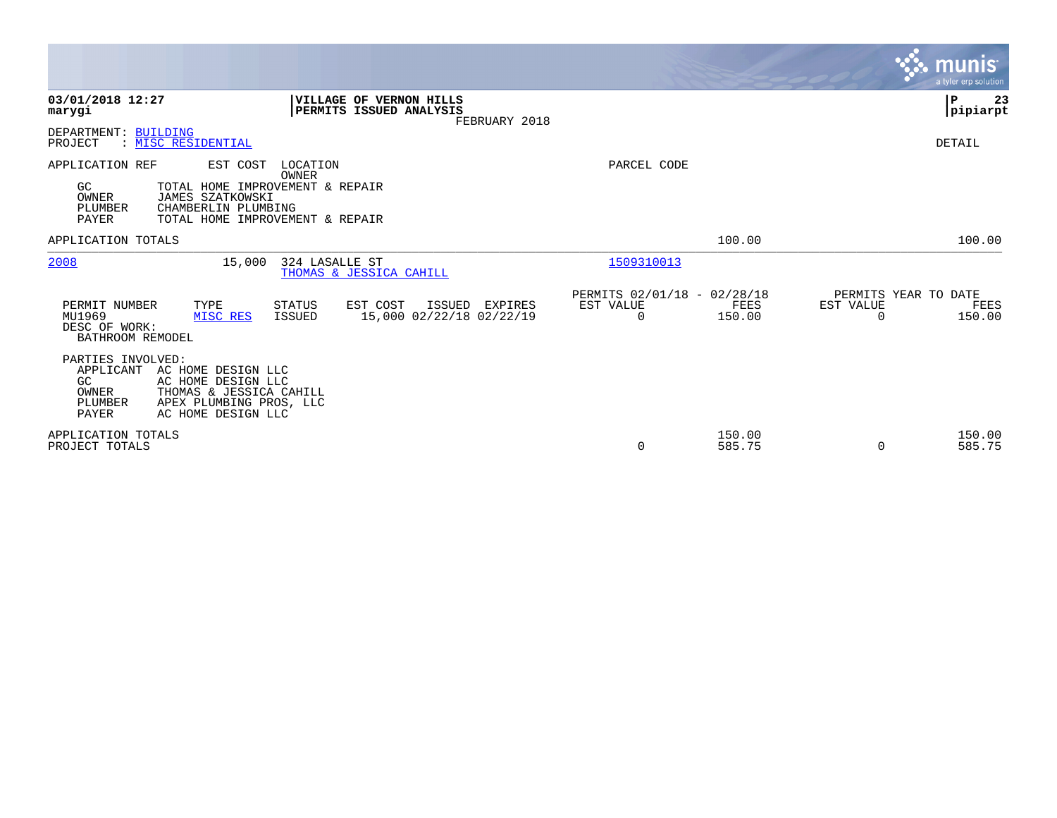|                                                                                                                                                                                                      |                                                                | munis<br>a tyler erp solution.                                          |
|------------------------------------------------------------------------------------------------------------------------------------------------------------------------------------------------------|----------------------------------------------------------------|-------------------------------------------------------------------------|
| 03/01/2018 12:27<br>VILLAGE OF VERNON HILLS<br>PERMITS ISSUED ANALYSIS<br>marygi<br>FEBRUARY 2018                                                                                                    |                                                                | $\mathbf P$<br>23<br> pipiarpt                                          |
| DEPARTMENT: BUILDING<br>: MISC RESIDENTIAL<br>PROJECT                                                                                                                                                |                                                                | DETAIL                                                                  |
| APPLICATION REF<br>EST COST<br>LOCATION<br>OWNER<br>TOTAL HOME IMPROVEMENT & REPAIR<br>GC<br>OWNER<br>JAMES SZATKOWSKI<br>PLUMBER<br>CHAMBERLIN PLUMBING<br>PAYER<br>TOTAL HOME IMPROVEMENT & REPAIR | PARCEL CODE                                                    |                                                                         |
| APPLICATION TOTALS                                                                                                                                                                                   | 100.00                                                         | 100.00                                                                  |
| 2008<br>15,000<br>324 LASALLE ST<br>THOMAS & JESSICA CAHILL                                                                                                                                          | 1509310013                                                     |                                                                         |
| PERMIT NUMBER<br>TYPE<br>STATUS<br>EST COST<br>ISSUED EXPIRES<br>MU1969<br>15,000 02/22/18 02/22/19<br>MISC RES<br>ISSUED<br>DESC OF WORK:<br>BATHROOM REMODEL                                       | PERMITS 02/01/18 - 02/28/18<br>EST VALUE<br>150.00<br>$\Omega$ | PERMITS YEAR TO DATE<br>EST VALUE<br>FEES<br>FEES<br>150.00<br>$\Omega$ |
| PARTIES INVOLVED:<br>APPLICANT<br>AC HOME DESIGN LLC<br>GC.<br>AC HOME DESIGN LLC<br>THOMAS & JESSICA CAHILL<br>OWNER<br>PLUMBER<br>APEX PLUMBING PROS, LLC<br><b>PAYER</b><br>AC HOME DESIGN LLC    |                                                                |                                                                         |
| APPLICATION TOTALS<br>PROJECT TOTALS                                                                                                                                                                 | 150.00<br>0<br>585.75                                          | 150.00<br>585.75<br>$\Omega$                                            |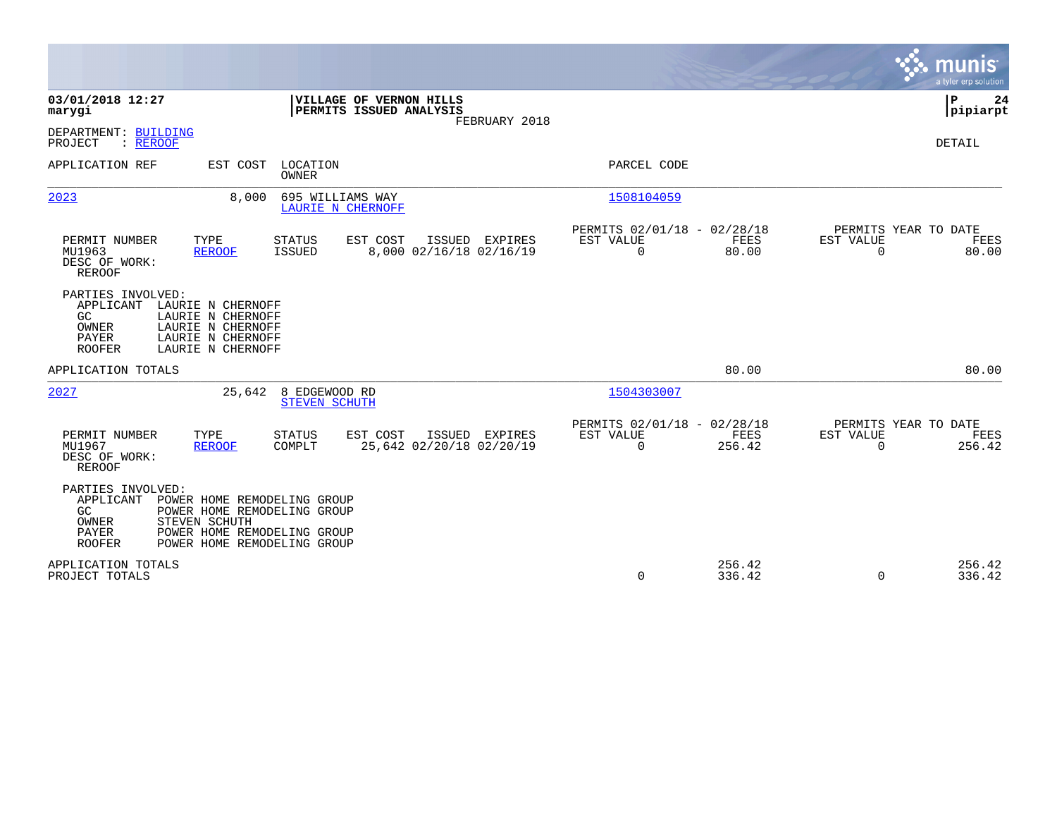|                                                                                                                                                                                                                       |                                                                          | munis<br>a tyler erp solution                                   |
|-----------------------------------------------------------------------------------------------------------------------------------------------------------------------------------------------------------------------|--------------------------------------------------------------------------|-----------------------------------------------------------------|
| 03/01/2018 12:27<br>VILLAGE OF VERNON HILLS<br>PERMITS ISSUED ANALYSIS<br>marygi<br>FEBRUARY 2018                                                                                                                     |                                                                          | P<br>24<br>pipiarpt                                             |
| DEPARTMENT: BUILDING<br>PROJECT<br>: REROOF                                                                                                                                                                           |                                                                          | <b>DETAIL</b>                                                   |
| APPLICATION REF<br>EST COST<br>LOCATION<br><b>OWNER</b>                                                                                                                                                               | PARCEL CODE                                                              |                                                                 |
| 2023<br>8,000<br>695 WILLIAMS WAY<br><b>LAURIE N CHERNOFF</b>                                                                                                                                                         | 1508104059                                                               |                                                                 |
| EST COST<br>PERMIT NUMBER<br>TYPE<br><b>STATUS</b><br>ISSUED EXPIRES<br>8,000 02/16/18 02/16/19<br>MU1963<br><b>REROOF</b><br>ISSUED<br>DESC OF WORK:<br><b>REROOF</b>                                                | PERMITS 02/01/18 - 02/28/18<br>FEES<br>EST VALUE<br>$\mathbf 0$<br>80.00 | PERMITS YEAR TO DATE<br>EST VALUE<br>FEES<br>$\Omega$<br>80.00  |
| PARTIES INVOLVED:<br>LAURIE N CHERNOFF<br>APPLICANT<br>GC.<br>LAURIE N CHERNOFF<br>OWNER<br>LAURIE N CHERNOFF<br>PAYER<br>LAURIE N CHERNOFF<br><b>ROOFER</b><br>LAURIE N CHERNOFF                                     |                                                                          |                                                                 |
| APPLICATION TOTALS                                                                                                                                                                                                    | 80.00                                                                    | 80.00                                                           |
| 2027<br>8 EDGEWOOD RD<br>25,642<br><b>STEVEN SCHUTH</b>                                                                                                                                                               | 1504303007                                                               |                                                                 |
| TYPE<br>PERMIT NUMBER<br><b>STATUS</b><br>EST COST<br>ISSUED EXPIRES<br>MU1967<br><b>REROOF</b><br>COMPLT<br>25,642 02/20/18 02/20/19<br>DESC OF WORK:<br><b>REROOF</b>                                               | PERMITS 02/01/18 - 02/28/18<br>FEES<br>EST VALUE<br>0<br>256.42          | PERMITS YEAR TO DATE<br>EST VALUE<br>FEES<br>$\Omega$<br>256.42 |
| PARTIES INVOLVED:<br>APPLICANT<br>POWER HOME REMODELING GROUP<br>GC.<br>POWER HOME REMODELING GROUP<br>STEVEN SCHUTH<br>OWNER<br>PAYER<br>POWER HOME REMODELING GROUP<br><b>ROOFER</b><br>POWER HOME REMODELING GROUP |                                                                          |                                                                 |
| APPLICATION TOTALS<br>PROJECT TOTALS                                                                                                                                                                                  | 256.42<br>0<br>336.42                                                    | 256.42<br>$\Omega$<br>336.42                                    |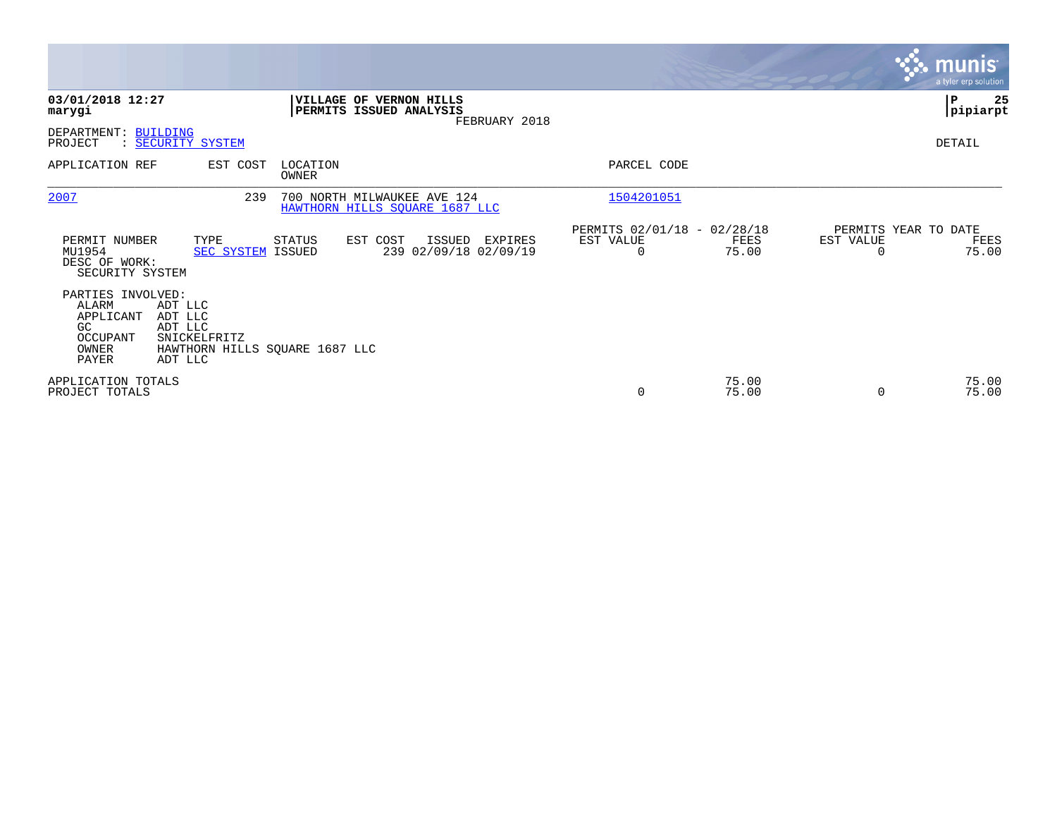|                                                                              |                                                                                            |                   |                                                               |               |                                                      |                |           | <b>munis</b><br>a tyler erp solution  |
|------------------------------------------------------------------------------|--------------------------------------------------------------------------------------------|-------------------|---------------------------------------------------------------|---------------|------------------------------------------------------|----------------|-----------|---------------------------------------|
| 03/01/2018 12:27<br>marygi                                                   |                                                                                            |                   | VILLAGE OF VERNON HILLS<br>PERMITS ISSUED ANALYSIS            | FEBRUARY 2018 |                                                      |                |           | 25<br>∣P<br> pipiarpt                 |
| DEPARTMENT: BUILDING<br>PROJECT                                              | : SECURITY SYSTEM                                                                          |                   |                                                               |               |                                                      |                |           | DETAIL                                |
| APPLICATION REF                                                              | EST COST                                                                                   | LOCATION<br>OWNER |                                                               |               | PARCEL CODE                                          |                |           |                                       |
| 2007                                                                         | 239                                                                                        |                   | 700 NORTH MILWAUKEE AVE 124<br>HAWTHORN HILLS SQUARE 1687 LLC |               | 1504201051                                           |                |           |                                       |
| PERMIT NUMBER<br>MU1954<br>DESC OF WORK:<br>SECURITY SYSTEM                  | TYPE<br><b>SEC SYSTEM ISSUED</b>                                                           | STATUS            | EST COST<br>ISSUED<br>239 02/09/18 02/09/19                   | EXPIRES       | PERMITS 02/01/18 - 02/28/18<br>EST VALUE<br>$\Omega$ | FEES<br>75.00  | EST VALUE | PERMITS YEAR TO DATE<br>FEES<br>75.00 |
| PARTIES INVOLVED:<br>ALARM<br>APPLICANT<br>GC.<br>OCCUPANT<br>OWNER<br>PAYER | ADT LLC<br>ADT LLC<br>ADT LLC<br>SNICKELFRITZ<br>HAWTHORN HILLS SQUARE 1687 LLC<br>ADT LLC |                   |                                                               |               |                                                      |                |           |                                       |
| APPLICATION TOTALS<br>PROJECT TOTALS                                         |                                                                                            |                   |                                                               |               | $\mathbf 0$                                          | 75.00<br>75.00 | $\Omega$  | 75.00<br>75.00                        |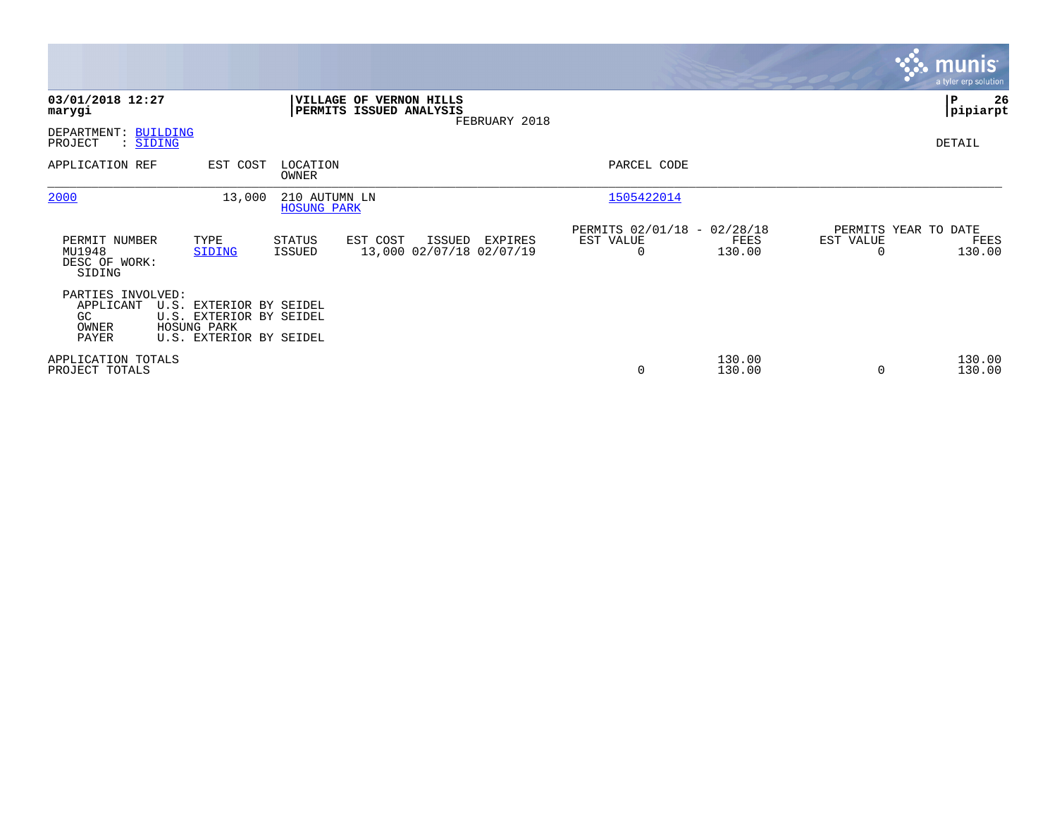|                                                        |                                                                                              |                                     |                                                           |               |                                                      |                  |                                   | $\overline{\mathsf{m}$ unis'<br>a tyler erp solution |
|--------------------------------------------------------|----------------------------------------------------------------------------------------------|-------------------------------------|-----------------------------------------------------------|---------------|------------------------------------------------------|------------------|-----------------------------------|------------------------------------------------------|
| 03/01/2018 12:27<br>marygi                             |                                                                                              |                                     | <b>VILLAGE OF VERNON HILLS</b><br>PERMITS ISSUED ANALYSIS | FEBRUARY 2018 |                                                      |                  |                                   | ∣P<br>26<br> pipiarpt                                |
| BUILDING<br>DEPARTMENT:<br>PROJECT<br>: SIDING         |                                                                                              |                                     |                                                           |               |                                                      |                  |                                   | DETAIL                                               |
| APPLICATION REF                                        | EST COST                                                                                     | LOCATION<br>OWNER                   |                                                           |               | PARCEL CODE                                          |                  |                                   |                                                      |
| 2000                                                   | 13,000                                                                                       | 210 AUTUMN LN<br><b>HOSUNG PARK</b> |                                                           |               | 1505422014                                           |                  |                                   |                                                      |
| PERMIT NUMBER<br>MU1948<br>DESC OF WORK:<br>SIDING     | TYPE<br>SIDING                                                                               | <b>STATUS</b><br><b>ISSUED</b>      | EST COST<br>ISSUED<br>13,000 02/07/18 02/07/19            | EXPIRES       | PERMITS 02/01/18 - 02/28/18<br>EST VALUE<br>$\Omega$ | FEES<br>130.00   | PERMITS YEAR TO DATE<br>EST VALUE | FEES<br>130.00                                       |
| PARTIES INVOLVED:<br>APPLICANT<br>GC<br>OWNER<br>PAYER | U.S. EXTERIOR BY SEIDEL<br>U.S. EXTERIOR BY SEIDEL<br>HOSUNG PARK<br>U.S. EXTERIOR BY SEIDEL |                                     |                                                           |               |                                                      |                  |                                   |                                                      |
| APPLICATION TOTALS<br>PROJECT TOTALS                   |                                                                                              |                                     |                                                           |               | 0                                                    | 130.00<br>130.00 |                                   | 130.00<br>130.00                                     |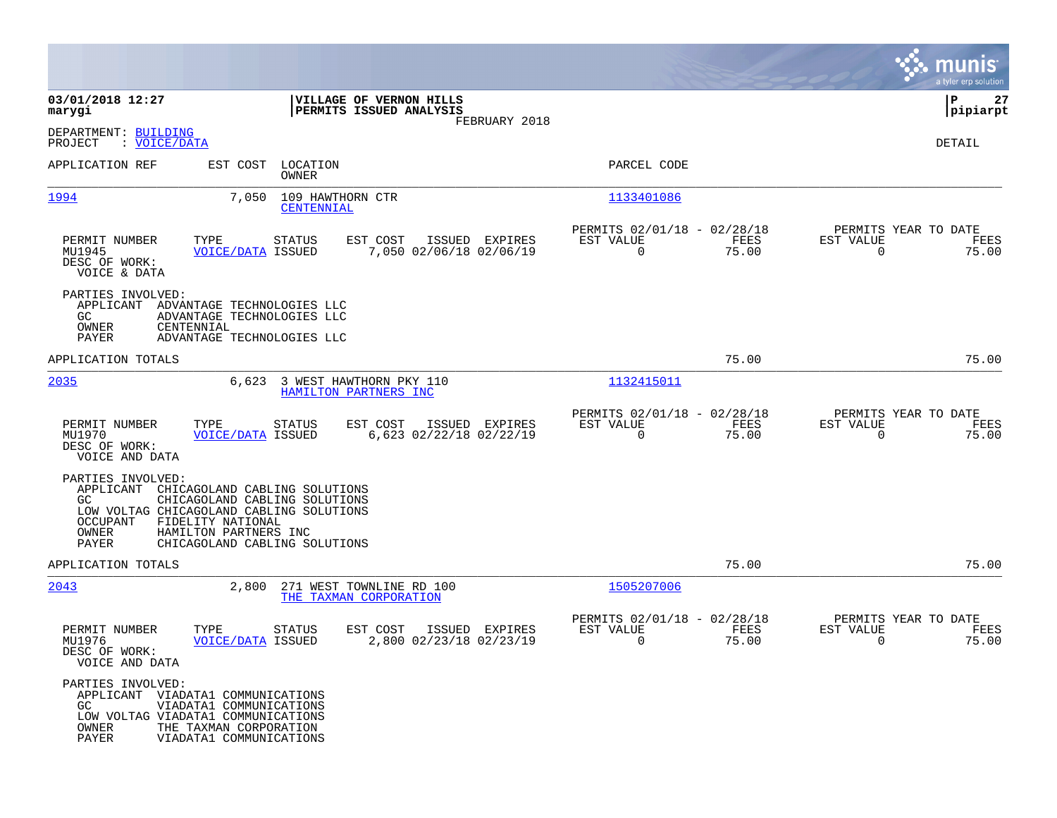|                                                                     |                                                                                                                                                                                           |                                                                          | munis<br>a tyler erp solution                                     |
|---------------------------------------------------------------------|-------------------------------------------------------------------------------------------------------------------------------------------------------------------------------------------|--------------------------------------------------------------------------|-------------------------------------------------------------------|
| 03/01/2018 12:27<br>marygi                                          | VILLAGE OF VERNON HILLS<br>PERMITS ISSUED ANALYSIS<br>FEBRUARY 2018                                                                                                                       |                                                                          | 27<br>IΡ<br> pipiarpt                                             |
| DEPARTMENT: BUILDING<br>: VOICE/DATA<br>PROJECT                     |                                                                                                                                                                                           |                                                                          | DETAIL                                                            |
| APPLICATION REF                                                     | LOCATION<br>EST COST<br>OWNER                                                                                                                                                             | PARCEL CODE                                                              |                                                                   |
| 1994                                                                | 109 HAWTHORN CTR<br>7,050<br>CENTENNIAL                                                                                                                                                   | 1133401086                                                               |                                                                   |
| PERMIT NUMBER<br>MU1945<br>DESC OF WORK:<br>VOICE & DATA            | TYPE<br><b>STATUS</b><br>EST COST<br>ISSUED EXPIRES<br><b>VOICE/DATA ISSUED</b><br>7,050 02/06/18 02/06/19                                                                                | PERMITS 02/01/18 - 02/28/18<br>FEES<br>EST VALUE<br>$\mathbf 0$<br>75.00 | PERMITS YEAR TO DATE<br>EST VALUE<br>FEES<br>$\Omega$<br>75.00    |
| PARTIES INVOLVED:<br>GC.<br>OWNER<br>CENTENNIAL<br>PAYER            | APPLICANT ADVANTAGE TECHNOLOGIES LLC<br>ADVANTAGE TECHNOLOGIES LLC<br>ADVANTAGE TECHNOLOGIES LLC                                                                                          |                                                                          |                                                                   |
| APPLICATION TOTALS                                                  |                                                                                                                                                                                           | 75.00                                                                    | 75.00                                                             |
| 2035                                                                | 6,623<br>3 WEST HAWTHORN PKY 110<br>HAMILTON PARTNERS INC                                                                                                                                 | 1132415011                                                               |                                                                   |
| PERMIT NUMBER<br>MU1970<br>DESC OF WORK:<br>VOICE AND DATA          | EST COST<br>ISSUED EXPIRES<br>TYPE<br>STATUS<br>6,623 02/22/18 02/22/19<br><b>VOICE/DATA ISSUED</b>                                                                                       | PERMITS 02/01/18 - 02/28/18<br>EST VALUE<br>FEES<br>$\mathbf 0$<br>75.00 | PERMITS YEAR TO DATE<br>EST VALUE<br>FEES<br>$\mathbf 0$<br>75.00 |
| PARTIES INVOLVED:<br>APPLICANT<br>GC.<br>OCCUPANT<br>OWNER<br>PAYER | CHICAGOLAND CABLING SOLUTIONS<br>CHICAGOLAND CABLING SOLUTIONS<br>LOW VOLTAG CHICAGOLAND CABLING SOLUTIONS<br>FIDELITY NATIONAL<br>HAMILTON PARTNERS INC<br>CHICAGOLAND CABLING SOLUTIONS |                                                                          |                                                                   |
| APPLICATION TOTALS                                                  |                                                                                                                                                                                           | 75.00                                                                    | 75.00                                                             |
| 2043                                                                | 2,800<br>271 WEST TOWNLINE RD 100<br>THE TAXMAN CORPORATION                                                                                                                               | 1505207006                                                               |                                                                   |
| PERMIT NUMBER<br>MU1976<br>DESC OF WORK:<br>VOICE AND DATA          | TYPE<br>EST COST<br>ISSUED EXPIRES<br><b>STATUS</b><br>2,800 02/23/18 02/23/19<br><b>VOICE/DATA ISSUED</b>                                                                                | PERMITS 02/01/18 - 02/28/18<br>EST VALUE<br>FEES<br>0<br>75.00           | PERMITS YEAR TO DATE<br>EST VALUE<br>FEES<br>75.00<br>0           |
| PARTIES INVOLVED:<br>GC<br>OWNER<br>PAYER                           | APPLICANT VIADATA1 COMMUNICATIONS<br>VIADATA1 COMMUNICATIONS<br>LOW VOLTAG VIADATA1 COMMUNICATIONS<br>THE TAXMAN CORPORATION<br>VIADATA1 COMMUNICATIONS                                   |                                                                          |                                                                   |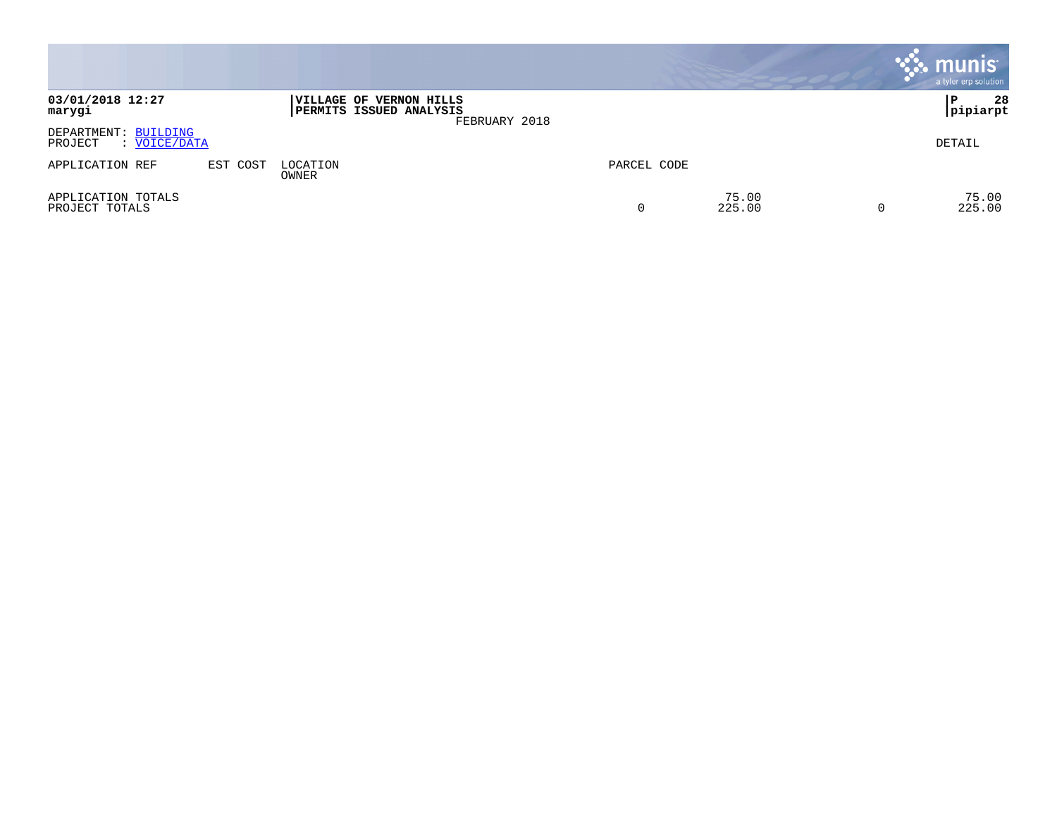|                                                                 |          |                                                           |               |             |                 | $\cdot$ munis $\cdot$<br>a tyler erp solution |
|-----------------------------------------------------------------|----------|-----------------------------------------------------------|---------------|-------------|-----------------|-----------------------------------------------|
| 03/01/2018 12:27<br>marygi                                      |          | <b>VILLAGE OF VERNON HILLS</b><br>PERMITS ISSUED ANALYSIS | FEBRUARY 2018 |             |                 | 28<br>ΙP<br> pipiarpt                         |
| DEPARTMENT: BUILDING<br>VOICE/DATA<br>PROJECT<br>$\ddot{\cdot}$ |          |                                                           |               |             |                 | DETAIL                                        |
| APPLICATION REF                                                 | EST COST | LOCATION<br>OWNER                                         |               | PARCEL CODE |                 |                                               |
| APPLICATION TOTALS<br>PROJECT TOTALS                            |          |                                                           |               |             | 75.00<br>225.00 | 75.00<br>225.00                               |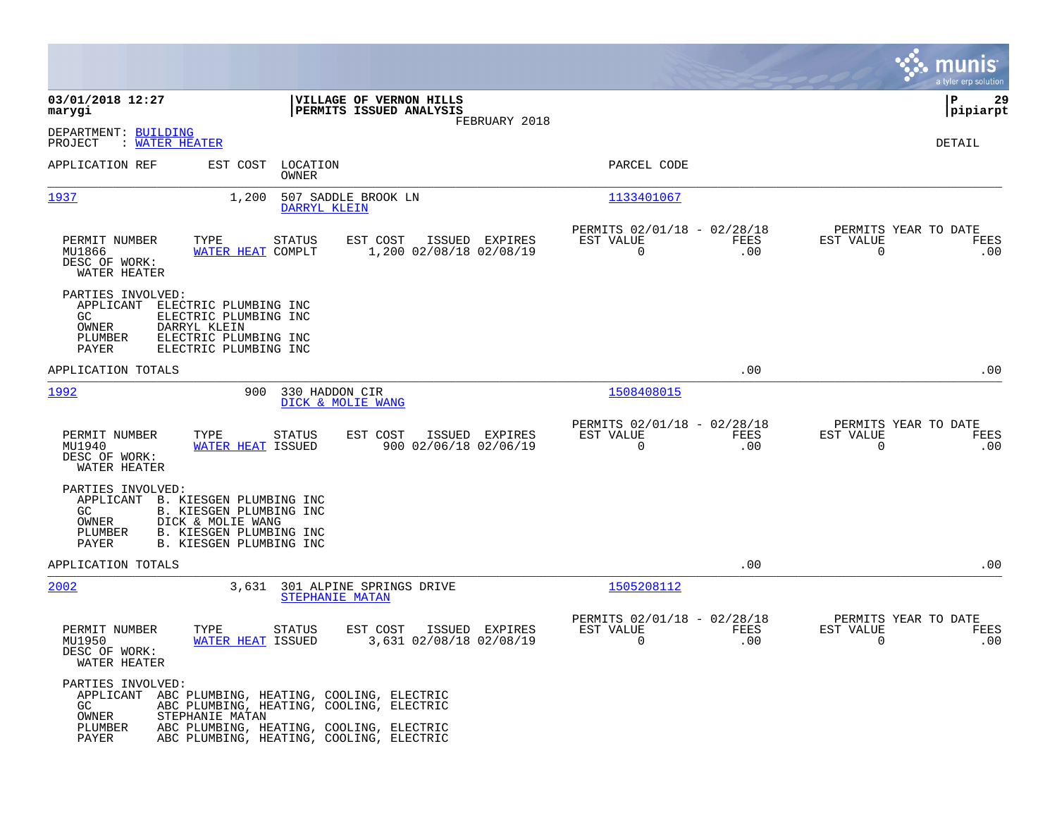|                                                                                                                                                                                                 |                                                                                                                                  |                                                         |             |                                                  | munis<br>a tyler erp solution |
|-------------------------------------------------------------------------------------------------------------------------------------------------------------------------------------------------|----------------------------------------------------------------------------------------------------------------------------------|---------------------------------------------------------|-------------|--------------------------------------------------|-------------------------------|
| 03/01/2018 12:27<br>marygi                                                                                                                                                                      | VILLAGE OF VERNON HILLS<br>PERMITS ISSUED ANALYSIS                                                                               |                                                         |             |                                                  | ΙP<br>29<br> pipiarpt         |
| DEPARTMENT: BUILDING<br>: WATER HEATER<br>PROJECT                                                                                                                                               | FEBRUARY 2018                                                                                                                    |                                                         |             |                                                  | DETAIL                        |
| APPLICATION REF<br>EST COST LOCATION                                                                                                                                                            | OWNER                                                                                                                            | PARCEL CODE                                             |             |                                                  |                               |
| 1937<br>1,200                                                                                                                                                                                   | 507 SADDLE BROOK LN<br>DARRYL KLEIN                                                                                              | 1133401067                                              |             |                                                  |                               |
| PERMIT NUMBER<br>TYPE<br>MU1866<br>WATER HEAT COMPLT<br>DESC OF WORK:<br>WATER HEATER                                                                                                           | <b>STATUS</b><br>EST COST<br>ISSUED EXPIRES<br>1,200 02/08/18 02/08/19                                                           | PERMITS 02/01/18 - 02/28/18<br>EST VALUE<br>$\mathbf 0$ | FEES<br>.00 | PERMITS YEAR TO DATE<br>EST VALUE<br>$\mathbf 0$ | FEES<br>.00                   |
| PARTIES INVOLVED:<br>APPLICANT<br>ELECTRIC PLUMBING INC<br>GC<br>ELECTRIC PLUMBING INC<br>OWNER<br>DARRYL KLEIN<br>ELECTRIC PLUMBING INC<br>PLUMBER<br>PAYER<br>ELECTRIC PLUMBING INC           |                                                                                                                                  |                                                         |             |                                                  |                               |
| APPLICATION TOTALS                                                                                                                                                                              |                                                                                                                                  |                                                         | .00         |                                                  | .00                           |
| 1992<br>900                                                                                                                                                                                     | 330 HADDON CIR<br>DICK & MOLIE WANG                                                                                              | 1508408015                                              |             |                                                  |                               |
| PERMIT NUMBER<br>TYPE<br>MU1940<br><b>WATER HEAT ISSUED</b><br>DESC OF WORK:<br>WATER HEATER                                                                                                    | <b>STATUS</b><br>EST COST<br>ISSUED EXPIRES<br>900 02/06/18 02/06/19                                                             | PERMITS 02/01/18 - 02/28/18<br>EST VALUE<br>$\mathbf 0$ | FEES<br>.00 | PERMITS YEAR TO DATE<br>EST VALUE<br>$\mathbf 0$ | FEES<br>.00                   |
| PARTIES INVOLVED:<br>APPLICANT B. KIESGEN PLUMBING INC<br>B. KIESGEN PLUMBING INC<br>GC<br>DICK & MOLIE WANG<br>OWNER<br>B. KIESGEN PLUMBING INC<br>PLUMBER<br>B. KIESGEN PLUMBING INC<br>PAYER |                                                                                                                                  |                                                         |             |                                                  |                               |
| APPLICATION TOTALS                                                                                                                                                                              |                                                                                                                                  |                                                         | .00         |                                                  | .00                           |
| 2002<br>3,631                                                                                                                                                                                   | 301 ALPINE SPRINGS DRIVE<br>STEPHANIE MATAN                                                                                      | 1505208112                                              |             |                                                  |                               |
| PERMIT NUMBER<br>TYPE<br>MU1950<br>WATER HEAT ISSUED<br>DESC OF WORK:<br>WATER HEATER                                                                                                           | <b>STATUS</b><br>EST COST<br>ISSUED EXPIRES<br>3,631 02/08/18 02/08/19                                                           | PERMITS 02/01/18 - 02/28/18<br>EST VALUE<br>$\Omega$    | FEES<br>.00 | PERMITS YEAR TO DATE<br>EST VALUE<br>0           | FEES<br>.00                   |
| PARTIES INVOLVED:<br>APPLICANT ABC PLUMBING, HEATING, COOLING, ELECTRIC<br>GC<br>STEPHANIE MATAN<br>OWNER<br>PLUMBER<br>PAYER                                                                   | ABC PLUMBING, HEATING, COOLING, ELECTRIC<br>ABC PLUMBING, HEATING, COOLING, ELECTRIC<br>ABC PLUMBING, HEATING, COOLING, ELECTRIC |                                                         |             |                                                  |                               |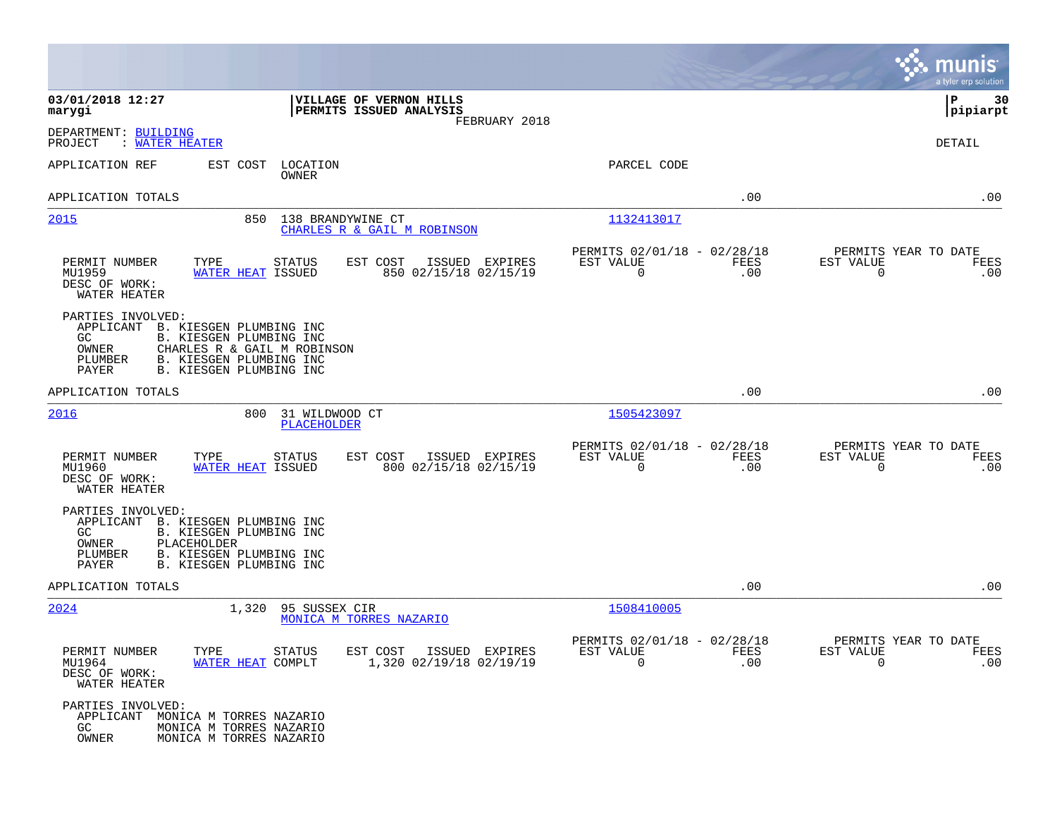|                                                                                                                                                                                                                             |                                                                     |                                                         |             |                                                  | munis<br>a tyler erp solution |
|-----------------------------------------------------------------------------------------------------------------------------------------------------------------------------------------------------------------------------|---------------------------------------------------------------------|---------------------------------------------------------|-------------|--------------------------------------------------|-------------------------------|
| 03/01/2018 12:27<br>marygi                                                                                                                                                                                                  | VILLAGE OF VERNON HILLS<br>PERMITS ISSUED ANALYSIS<br>FEBRUARY 2018 |                                                         |             |                                                  | ΙP<br>30<br> pipiarpt         |
| DEPARTMENT: BUILDING<br>PROJECT<br>: WATER HEATER                                                                                                                                                                           |                                                                     |                                                         |             |                                                  | DETAIL                        |
| APPLICATION REF<br>EST COST<br>LOCATION<br>OWNER                                                                                                                                                                            |                                                                     | PARCEL CODE                                             |             |                                                  |                               |
| APPLICATION TOTALS                                                                                                                                                                                                          |                                                                     |                                                         | .00         |                                                  | .00                           |
| 2015<br>850                                                                                                                                                                                                                 | 138 BRANDYWINE CT<br>CHARLES R & GAIL M ROBINSON                    | 1132413017                                              |             |                                                  |                               |
| PERMIT NUMBER<br>TYPE<br><b>STATUS</b><br>MU1959<br><b>WATER HEAT ISSUED</b><br>DESC OF WORK:<br>WATER HEATER                                                                                                               | EST COST<br>ISSUED EXPIRES<br>850 02/15/18 02/15/19                 | PERMITS 02/01/18 - 02/28/18<br>EST VALUE<br>0           | FEES<br>.00 | PERMITS YEAR TO DATE<br>EST VALUE<br>$\mathbf 0$ | FEES<br>.00                   |
| PARTIES INVOLVED:<br>B. KIESGEN PLUMBING INC<br>APPLICANT<br>GC.<br>B. KIESGEN PLUMBING INC<br>CHARLES R & GAIL M ROBINSON<br>OWNER<br>PLUMBER<br><b>B. KIESGEN PLUMBING INC</b><br>PAYER<br><b>B. KIESGEN PLUMBING INC</b> |                                                                     |                                                         |             |                                                  |                               |
| APPLICATION TOTALS                                                                                                                                                                                                          |                                                                     |                                                         | .00         |                                                  | .00                           |
| 2016<br>800                                                                                                                                                                                                                 | 31 WILDWOOD CT<br>PLACEHOLDER                                       | 1505423097                                              |             |                                                  |                               |
| PERMIT NUMBER<br>TYPE<br><b>STATUS</b><br>MU1960<br>WATER HEAT ISSUED<br>DESC OF WORK:<br>WATER HEATER                                                                                                                      | EST COST<br>ISSUED EXPIRES<br>800 02/15/18 02/15/19                 | PERMITS 02/01/18 - 02/28/18<br>EST VALUE<br>$\mathbf 0$ | FEES<br>.00 | PERMITS YEAR TO DATE<br>EST VALUE<br>$\mathbf 0$ | FEES<br>.00                   |
| PARTIES INVOLVED:<br>APPLICANT B. KIESGEN PLUMBING INC<br>GC.<br>B. KIESGEN PLUMBING INC<br>PLACEHOLDER<br>OWNER<br>PLUMBER<br>B. KIESGEN PLUMBING INC<br>B. KIESGEN PLUMBING INC<br>PAYER                                  |                                                                     |                                                         |             |                                                  |                               |
| APPLICATION TOTALS                                                                                                                                                                                                          |                                                                     |                                                         | .00         |                                                  | .00                           |
| 2024<br>1,320                                                                                                                                                                                                               | 95 SUSSEX CIR<br>MONICA M TORRES NAZARIO                            | 1508410005                                              |             |                                                  |                               |
| PERMIT NUMBER<br>TYPE<br>STATUS<br>MU1964<br>WATER HEAT COMPLT<br>DESC OF WORK:<br>WATER HEATER                                                                                                                             | EST COST ISSUED EXPIRES<br>1,320 02/19/18 02/19/19                  | PERMITS 02/01/18 - 02/28/18<br>EST VALUE<br>$\Omega$    | FEES<br>.00 | PERMITS YEAR TO DATE<br>EST VALUE<br>$\Omega$    | FEES<br>.00                   |
| PARTIES INVOLVED:<br>APPLICANT MONICA M TORRES NAZARIO<br>GC<br>MONICA M TORRES NAZARIO<br>OWNER<br>MONICA M TORRES NAZARIO                                                                                                 |                                                                     |                                                         |             |                                                  |                               |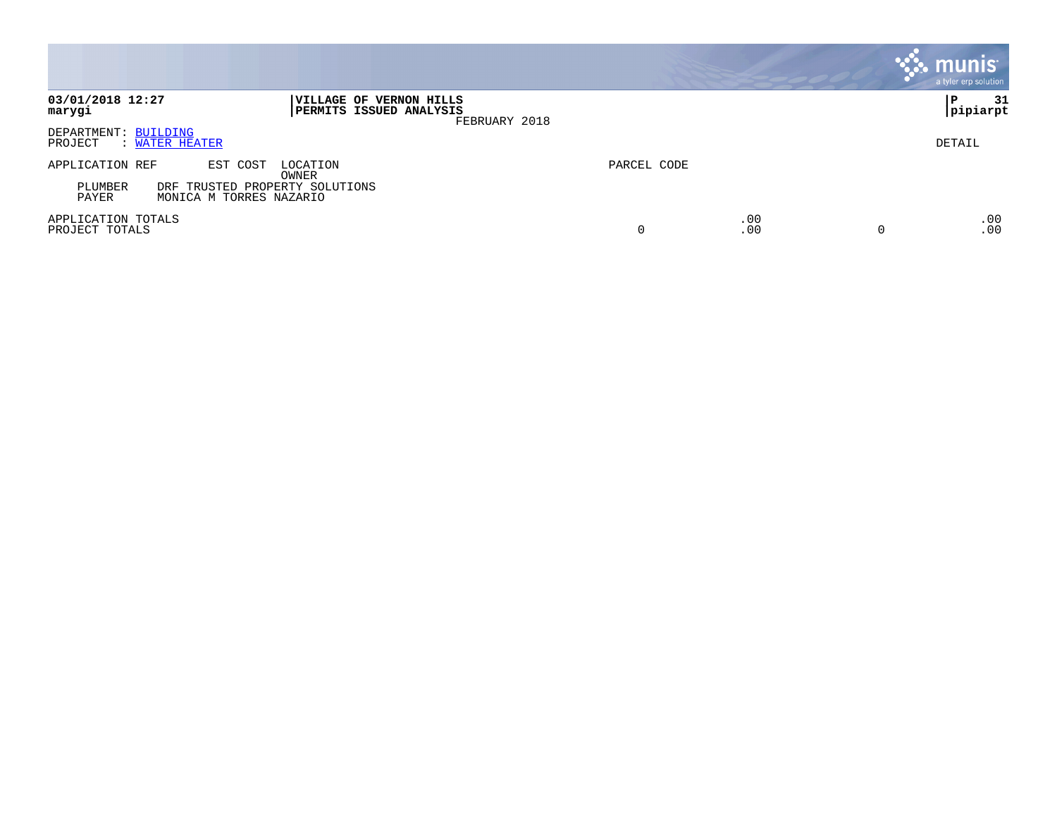|                                                                                                                                   |                             | munis'<br>a tyler erp solution |
|-----------------------------------------------------------------------------------------------------------------------------------|-----------------------------|--------------------------------|
| 03/01/2018 12:27<br>VILLAGE OF VERNON HILLS<br>PERMITS ISSUED ANALYSIS<br>marygi<br>FEBRUARY 2018                                 |                             | 31<br>P<br> pipiarpt           |
| DEPARTMENT: BUILDING<br>PROJECT<br>: WATER HEATER                                                                                 |                             | DETAIL                         |
| APPLICATION REF<br>EST COST<br>LOCATION<br>OWNER<br>PLUMBER<br>DRF TRUSTED PROPERTY SOLUTIONS<br>MONICA M TORRES NAZARIO<br>PAYER | PARCEL CODE                 |                                |
| APPLICATION TOTALS<br>PROJECT TOTALS                                                                                              | .00<br>.00<br>0<br>$\Omega$ | .00<br>.00                     |